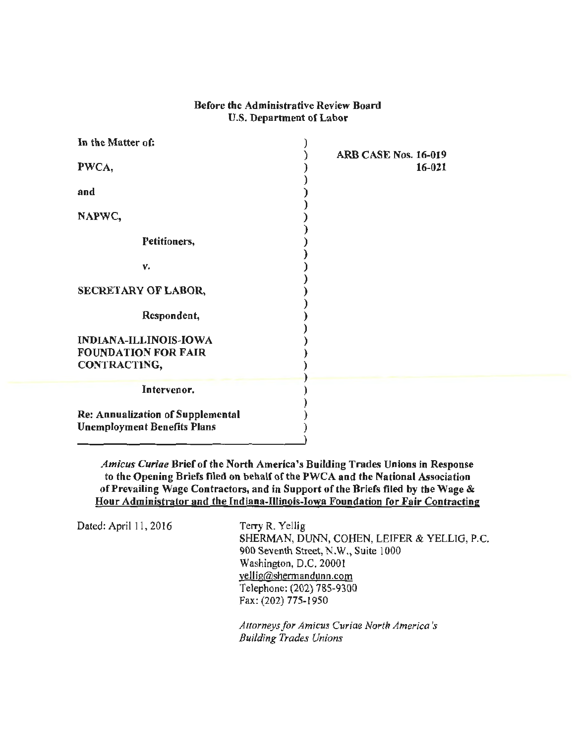## Before the Administrative Review Board U.S. Department of Labor

| In the Matter of:                        | ARB CASE Nos. 16-019 |
|------------------------------------------|----------------------|
| PWCA,                                    | $16 - 021$           |
| and                                      |                      |
| NAPWC,                                   |                      |
| Petitioners,                             |                      |
| v.                                       |                      |
| <b>SECRETARY OF LABOR,</b>               |                      |
| Respondent,                              |                      |
| <b>INDIANA-ILLINOIS-IOWA</b>             |                      |
| <b>FOUNDATION FOR FAIR</b>               |                      |
| CONTRACTING,                             |                      |
|                                          |                      |
| Intervenor.                              |                      |
| <b>Re: Annualization of Supplemental</b> |                      |
| <b>Unemployment Benefits Plans</b>       |                      |

*Amicus Curiae* Brief of the North America's Building Trades Unions in Response to the Opening Briefs filed on behalf of the PWCA and the National Association of Prevailing Wage Contractors, and in Support of the Briefs filed by the Wage & Hour Administrator and the Indiana-Illinois-Iowa Foundation for Fair Contracting

Dated: April 11, 2016 Terry R. Yellig

SHERMAN, DUNN, COHEN, LEIFER & YELLIG, P.C. 900 Seventh Street, N.W., Suite 1000 Washington, D.C. 20001 yel lig@shermandunn.com Telephone: (202) 785-9300 Fax: (202) 775-1950

*Attorneys for Amicus Curiae North America's Building Trades Unions*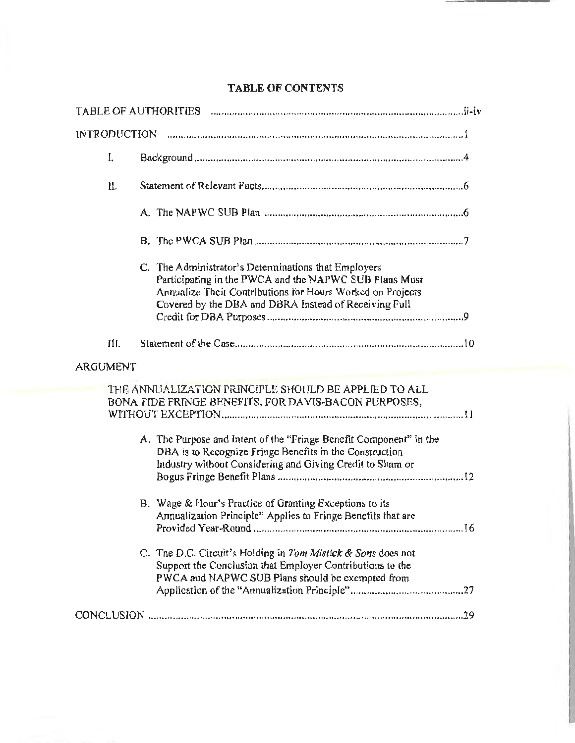| <b>INTRODUCTION</b> |                                                                                                                                                                                                                                       |
|---------------------|---------------------------------------------------------------------------------------------------------------------------------------------------------------------------------------------------------------------------------------|
| I.                  |                                                                                                                                                                                                                                       |
| II.                 |                                                                                                                                                                                                                                       |
|                     |                                                                                                                                                                                                                                       |
|                     |                                                                                                                                                                                                                                       |
|                     | C. The Administrator's Determinations that Employers<br>Participating in the PWCA and the NAPWC SUB Plans Must<br>Annualize Their Contributions for Hours Worked on Projects<br>Covered by the DBA and DBRA Instead of Receiving Full |
| III.                |                                                                                                                                                                                                                                       |
| ARGUMENT            |                                                                                                                                                                                                                                       |
|                     | THE ANNUALIZATION PRINCIPLE SHOULD BE APPLIED TO ALL<br>BONA FIDE FRINGE BENEFITS, FOR DAVIS-BACON PURPOSES,                                                                                                                          |
|                     | A. The Purpose and Intent of the "Fringe Benefit Component" in the<br>DBA is to Recognize Fringe Benefits in the Construction<br>Industry without Considering and Giving Credit to Sham or                                            |
|                     | B. Wage & Hour's Practice of Granting Exceptions to its<br>Annualization Principle" Applies to Fringe Benefits that are                                                                                                               |
|                     | C. The D.C. Circuit's Holding in Tom Mistick & Sons does not<br>Support the Conclusion that Employer Contributions to the<br>PWCA and NAPWC SUB Plans should be exempted from                                                         |
|                     |                                                                                                                                                                                                                                       |

## **TABLE OF CONTENTS**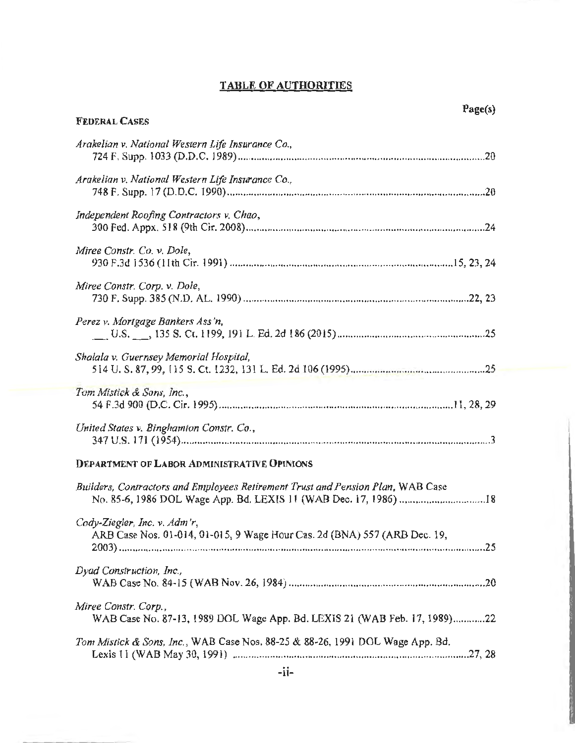# TABLE OF AUTHORITIES

| <b>FEDERAL CASES</b>                                                                                      |
|-----------------------------------------------------------------------------------------------------------|
| Arakelian v. National Western Life Insurance Co.,                                                         |
| Arakelian v. National Western Life Insurance Co.,                                                         |
| Independent Roofing Contractors v. Chao,                                                                  |
| Miree Constr. Co. v. Dole,                                                                                |
| Miree Constr. Corp. v. Dole,                                                                              |
| Perez v. Mortgage Bankers Ass'n,                                                                          |
| Shalala v. Guernsey Memorial Hospital,                                                                    |
| Tom Mistick & Sons, Inc.,                                                                                 |
| United States v. Binghamton Constr. Co.,                                                                  |
| <b>DEPARTMENT OF LABOR ADMINISTRATIVE OPINIONS</b>                                                        |
| Builders, Contractors and Employees Retirement Trust and Pension Plan, WAB Case                           |
| Cody-Ziegler, Inc. v. Adm'r,<br>ARB Case Nos. 01-014, 01-015, 9 Wage Hour Cas. 2d (BNA) 557 (ARB Dec. 19, |
| Dyad Construction, Inc.,                                                                                  |
| Miree Constr. Corp.,<br>WAB Case No. 87-13, 1989 DOL Wage App. Bd. LEXIS 21 (WAB Feb. 17, 1989)22         |
| Tom Mistick & Sons, Inc., WAB Case Nos. 88-25 & 88-26, 1991 DOL Wage App. Bd.                             |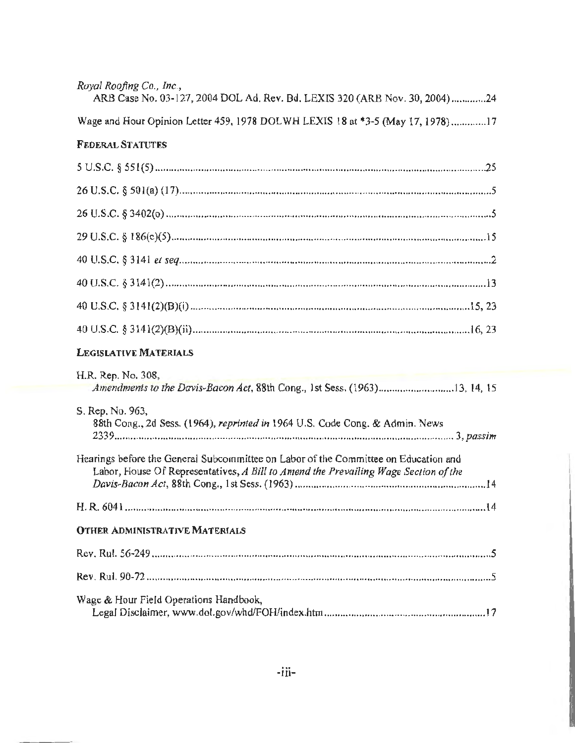| Royal Roofing Co., Inc.,<br>ARB Case No. 03-127, 2004 DOL Ad. Rev. Bd. LEXIS 320 (ARB Nov. 30, 2004)24                                                                     |
|----------------------------------------------------------------------------------------------------------------------------------------------------------------------------|
| Wage and Hour Opinion Letter 459, 1978 DOLWH LEXIS 18 at *3-5 (May 17, 1978)17                                                                                             |
| <b>FEDERAL STATUTES</b>                                                                                                                                                    |
|                                                                                                                                                                            |
|                                                                                                                                                                            |
|                                                                                                                                                                            |
|                                                                                                                                                                            |
|                                                                                                                                                                            |
|                                                                                                                                                                            |
|                                                                                                                                                                            |
|                                                                                                                                                                            |
| LEGISLATIVE MATERIALS                                                                                                                                                      |
| H.R. Rep. No. 308,<br>Amendments to the Davis-Bacon Act, 88th Cong., 1st Sess. (1963)13, 14, 15                                                                            |
| S. Rep. No. 963,<br>88th Cong., 2d Sess. (1964), reprinted in 1964 U.S. Code Cong. & Admin. News                                                                           |
| Hearings before the General Subcommittee on Labor of the Committee on Education and<br>Labor, House Of Representatives, A Bill to Amend the Prevailing Wage Section of the |
|                                                                                                                                                                            |
| <b>OTHER ADMINISTRATIVE MATERIALS</b>                                                                                                                                      |
|                                                                                                                                                                            |
|                                                                                                                                                                            |
| Wage & Hour Field Operations Handbook,                                                                                                                                     |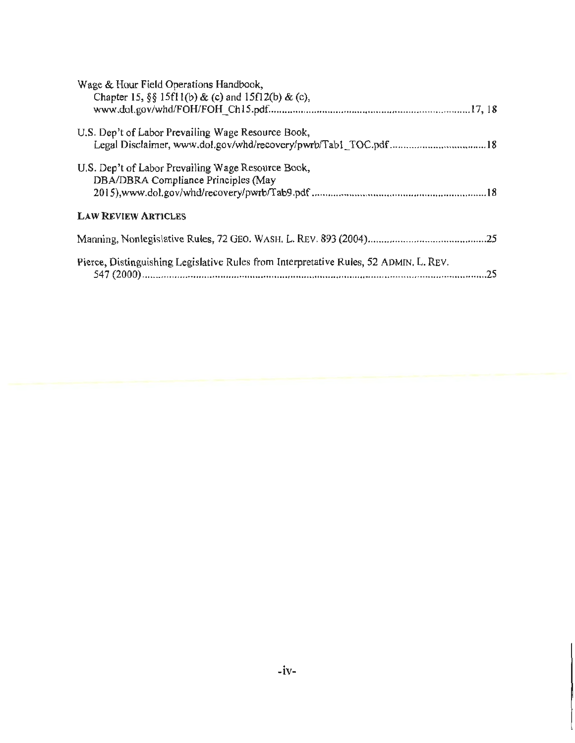| Wage & Hour Field Operations Handbook,<br>Chapter 15, §§ 15f11(b) & (c) and 15f12(b) & (c), |  |
|---------------------------------------------------------------------------------------------|--|
| U.S. Dep't of Labor Prevailing Wage Resource Book,                                          |  |
| U.S. Dep't of Labor Prevailing Wage Resource Book,<br>DBA/DBRA Compliance Principles (May   |  |
| <b>LAW REVIEW ARTICLES</b>                                                                  |  |
|                                                                                             |  |
| Pierce, Distinguishing Legislative Rules from Interpretative Rules, 52 ADMIN, L. REV.       |  |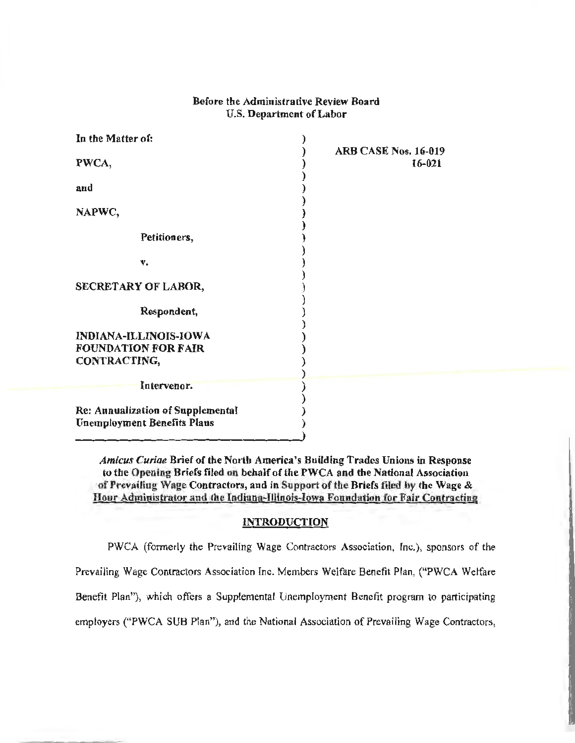## Before the Administrative Review Board U.S. Department of Labor

| In the Matter of:                                                              |                                       |
|--------------------------------------------------------------------------------|---------------------------------------|
| PWCA,                                                                          | <b>ARB CASE Nos. 16-019</b><br>16-021 |
| and                                                                            |                                       |
| NAPWC,                                                                         |                                       |
| Petitioners,                                                                   |                                       |
| v.                                                                             |                                       |
| SECRETARY OF LABOR,                                                            |                                       |
| Respondent,                                                                    |                                       |
| <b>INDIANA-ILLINOIS-IOWA</b>                                                   |                                       |
| <b>FOUNDATION FOR FAIR</b>                                                     |                                       |
| CONTRACTING,                                                                   |                                       |
|                                                                                |                                       |
| Intervenor.                                                                    |                                       |
| <b>Re: Annualization of Supplemental</b><br><b>Unemployment Benefits Plans</b> |                                       |

*Amicus Curiae* Brief of the North America's Building Trades Unions in Response to the Opening Briefs filed on behalf of the PWCA and the National Association of Prevailing Wage Contractors, and in Support of the Briefs filed by the Wage & Hour Administrator and the Indiana-Illinois-Iowa Foundation for Fair Contracting

#### **INTRODUCTION**

PWCA (formerly the Prevailing Wage Contractors Association, Inc.), sponsors of the Prevailing Wage Contractors Association Inc. Members Welfare Benefit Plan, ("PWCA Welfare Benefit Plan''), which offers a Supplemental Unemployment Benefit program to participating employers ("PWCA SUB Plan"), and the National Association of Prevailing Wage Contractors,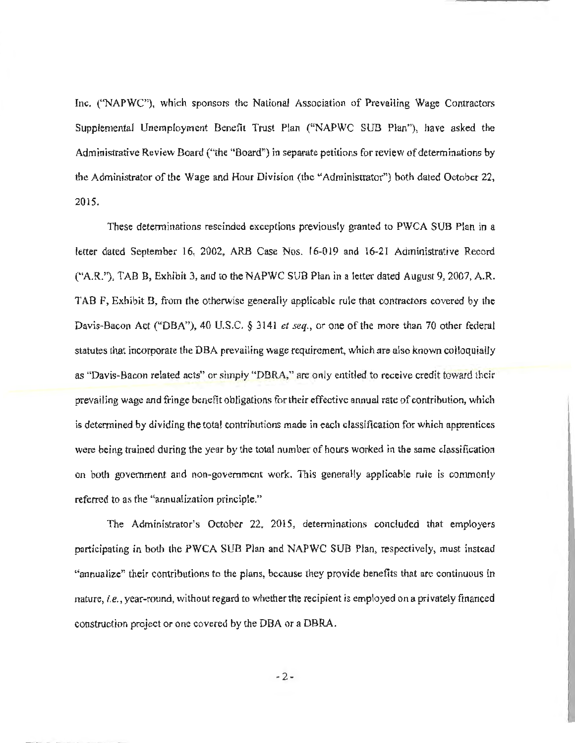Inc. (''NAPWC"), which sponsors the National Association of Prevailing Wage Contractors Supplemental Unemployment Benefit Trust Plan ("NAPWC SUB Plan"), have asked the Administrative Review Board ("the "Board") in separate petitions for review of determinations by the Administrator of the Wage and Hour Division (the "Administrator") both dated October 22, 2015.

These determinations rescinded exceptions previously granted to PWCA SUB Plan in a letter dated September 16, 2002, ARB Case Nos. 16-019 and 16-21 Administrative Record ("A.R."), TABB, Exhibit 3, and to the NAPWC SUB Plan in a letter dated August 9, 2007, A.R. TAB F, Exhibit B, from the otherwise generally applicable rule that contractors covered by the Davis-Bacon Act ("DBA"), 40 U.S.C. § 3141 *et seq.,* or one of the more than 70 other federal statutes that incorporate the DBA prevailing wage requirement, which are also known colloquially as "Davis-Bacon related acts" or simply "DBRA," are only entitled to receive credit toward their prevailing wage and fringe benefit obligations for their effective annual rate of contribution, which is determined by dividing the total contributions made in each classification for which apprentices were being trained during the year by the total number of hours worked in the same classification on both government and non~government work. This generally applicable rule is commonly referred to as the "annualization principle."

The Administrator's October 22, 2015, determinations concluded that employers participating in both the PWCA SUB Plan and NAPWC SUB Plan, respectively, must instead "annualize" their contributions to the plans, because they provide benefits that are continuous in nature, *i.e.,* year-round, without regard to whether the recipient is employed on a privately financed construction project or one covered by the OBA or a DBRA.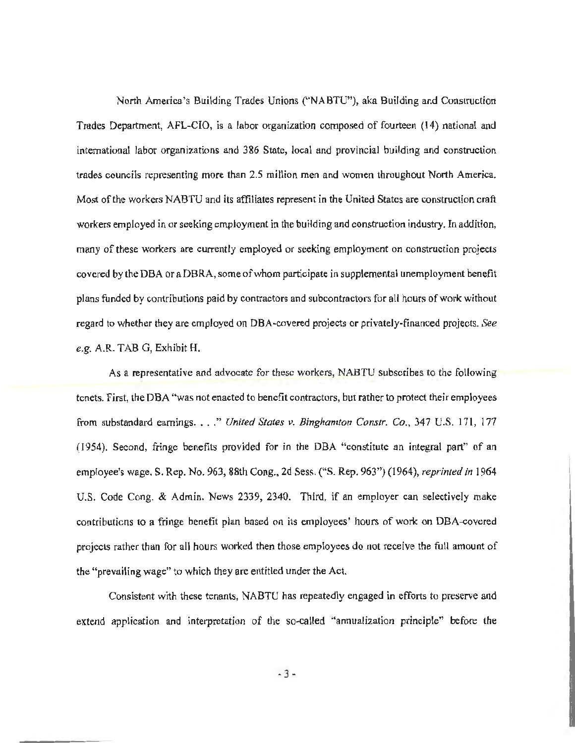North America's Building Trades Unions (''NABTU"), aka Building and Construction Trades Department, AFL-CIO, is a labor organization composed of fourteen (14) national and international labor organizations and 386 State, local and provincial building and construction trades councils representing more than 2.5 million men and women throughout North America. Most of the workers NABTU and its affiliates represent in the United States are construction craft workers employed in or seeking employment in the building and construction industry. In addition, many of these workers are currently employed or seeking employment on construction projects covered by the OBA or a DBRA, some of whom participate in supplemental unemployment benefit plans funded by contributions paid by contractors and subcontractors for all hours of work without regard to whether they are employed on DBA·covered projects or privately·financed projects. *See e.g.* A.R. TAB G, Exhibit H.

As a representative and advocate for these workers, NABTU subscribes to the following tenets. First, the DBA "was not enacted to benefit contractors, but rather to protect their employees from substandard earnings .... " *United States v. Binghamton Constr. Co.,* 347 U.S. 171, 177 (1954). Second, fringe benefits provided for in the OBA "constitute an integral part" of an employee's wage. S. Rep. No. 963, 88th Cong., 2d Sess. (''S. Rep. 963") (1964), *reprinted in* <sup>1964</sup> U.S. Code Cong. & Admin. News 2339, 2340. Third, if an employer can selectively make contributions to a fringe benefit plan based on its employees' hours of work on OBA-covered projects rather than for all hours worked then those employees do not receive the full amount of the "prevailing wage" to which they are entitled under the Act.

Consistent with these tenants, NABTU has repeatedly engaged in efforts to preserve and extend application and interpretation of the so-called "annualization principle" before the

- 3 -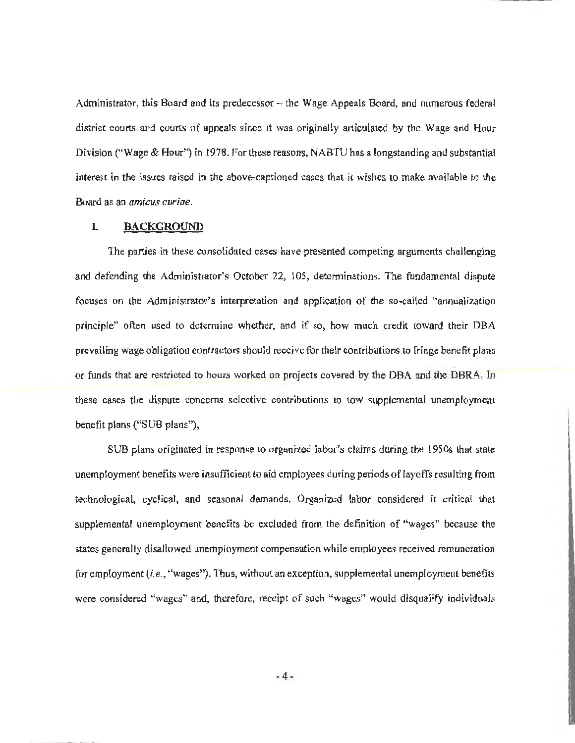Administrator, this Board and its predecessor – the Wage Appeals Board, and numerous federal district courts and courts of appeals since it was originally articulated by the Wage and Hour Division ("Wage & Hour") in 1978. For these reasons, NABTU has a longstanding and substantial interest in the issues raised in the above-captioned cases that it wishes to make available to the Board as an *amicus curiae.* 

#### **L BACKGROUND**

The parties in these consolidated cases have presented competing arguments challenging and defending the Administrator's October 22, 105, detenninations. The fundamental dispute focuses on the Administrator's interpretation and application of the so-called "annualization principle" often used *to* determine whether, and if so, how much credit toward their OBA prevailing wage obligation contractors should receive for their contributions to fringe benefit plans or funds that are restricted to hours worked on projects covered by the OBA and the DBRA. In these cases the dispute concerns selective contributions to tow supplemental unemployment benefit plans ("SUB plans"),

SUB plans originated in response to organized labor's claims during the 1950s that state unemployment benefits were insufficient to aid employees during periods of layoffs resulting from technological, cyclical, and seasonal demands. Organized labor considered it critical that supplemental unemployment benefits be excluded from the definition of "wages" because the states generally disallowed unemployment compensation while employees received remuneration for employment *(i.e.,* "wages"). Thus, without an exception, supplemental unemployment benefits were considered "wages" and, therefore, receipt of such "wages" would disqualify individuals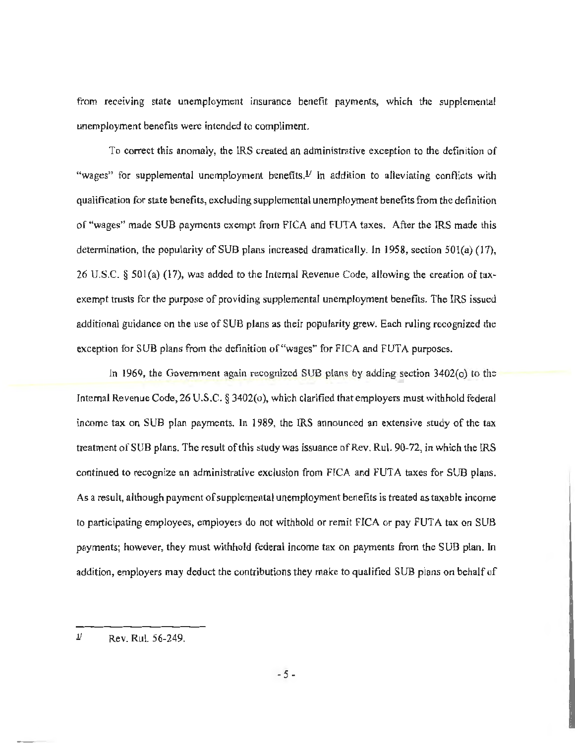from receiving state unemployment insurance benefit payments, which the supplemental unemployment benefits were intended to compliment.

To correct this anomaly, the IRS created an administrative exception to the definition of "wages" for supplemental unemployment benefits.<sup> *In addition to alleviating conflicts with</sup>* qualification for state benefits, excluding supplemental unemployment benefits from the definition of "wages" made SUB payments exempt from FICA and FUTA taxes. After the IRS made this determination, the popularity of SUB plans increased dramatically. In 1958, section 501(a) (17), 26 U.S.C. § 501(a) (17), was added to the Internal Revenue Code, allowing the creation of taxexempt trusts for the purpose of providing supplemental unemployment benefits. The IRS issued additional guidance on the use of SUB plans as their popularity grew. Each ruling recognized the exception for SUB plans from the definition of "wages" for FICA and FUTA purposes.

In 1969, the Government again recognized SUB plans by adding section  $3402$ (o) to the Internal Revenue Code, 26 U.S.C. § 3402(0), which clarified that employers must withhold federal income tax on SUB plan payments. In 1989, the IRS announced an extensive study of the tax treatment of SUB plans. The result of this study was issuance of Rev. Rul. 90-72, in which the IRS continued to recognize an administrative exclusion from FICA and FUTA taxes for SUB plans. As a result, although payment of supplemental unemployment benefits is treated as taxable income to participating employees, employers do not withhold or remit FICA or pay FUTA tax on SUB payments; however, they must withhold federal income tax on payments from the SUB plan. In addition, employers may deduct the contributions they make to qualified SUB plans on behalf of

 $\frac{1}{2}$  Rev. Rul. 56-249.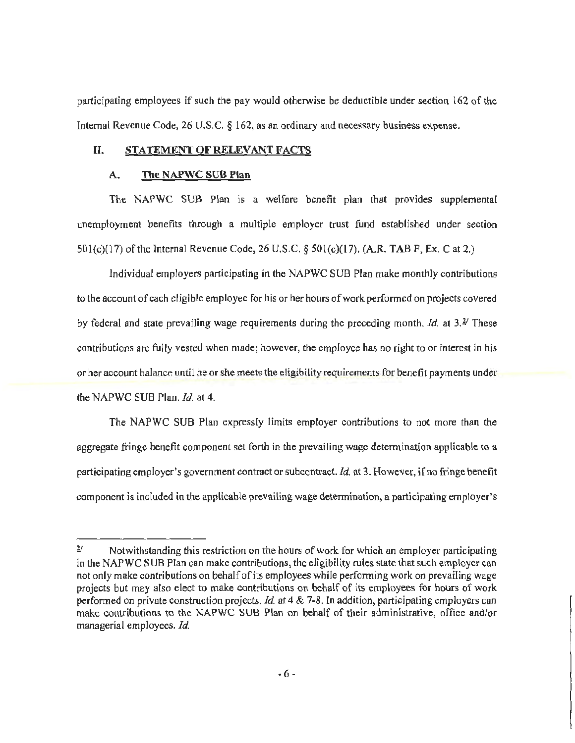participating employees if such the pay would otherwise be deductible under section 162 of the Internal Revenue Code, 26 U.S.C. § 162, as an ordinary and necessary business expense.

## U. STATEMENT OF RELEVANT FACTS

#### A. The NAPWC SUB Plan

The NAPWC SUB Plan is a welfare benefit plan that provides supplemental unemployment benefits through a multiple employer trust fund established under section 501(c)(17) of the Internal Revenue Code, 26 U.S.C. § 501(c)(17). (A.R. TAB F, Ex. C at 2.)

Individual employers participating in the NAPWC SUB Plan make monthly contributions to the account of each eligible employee for his or her hours of work performed on projects covered by federal and state prevailing wage requirements during the preceding month. *Id.* at *3.Y* These contributions are fully vested when made; however, the employee has no right to or interest in his or her account balance until he or she meets the eligibility requirements for benefit payments under the NAPWC SUB Plan. *Id.* at 4.

The NAPWC SUB Plan expressly limits employer contributions to not more than the aggregate fringe benefit component set forth in the prevailing wage determination applicable to a participating employer's government contract or subcontract. *Id.* at 3. However, if no fringe benefit component is included in the applicable prevailing wage determination, a participating employer's

 $\frac{2}{\sqrt{2}}$  Notwithstanding this restriction on the hours of work for which an employer participating in the NAPWC SUB Plan can make contributions, the eligibility rules state that such employer can not only make contributions on behalf of its employees while performing work on prevailing wage projects but may also elect to make contributions on behalf of its employees for hours of work performed on private construction projects. *Id.* at 4 & 7-8. In addition, participating employers can make contributions to the NAPWC SUB Plan on behalf of their administrative, office and/or managerial employees. *Id.*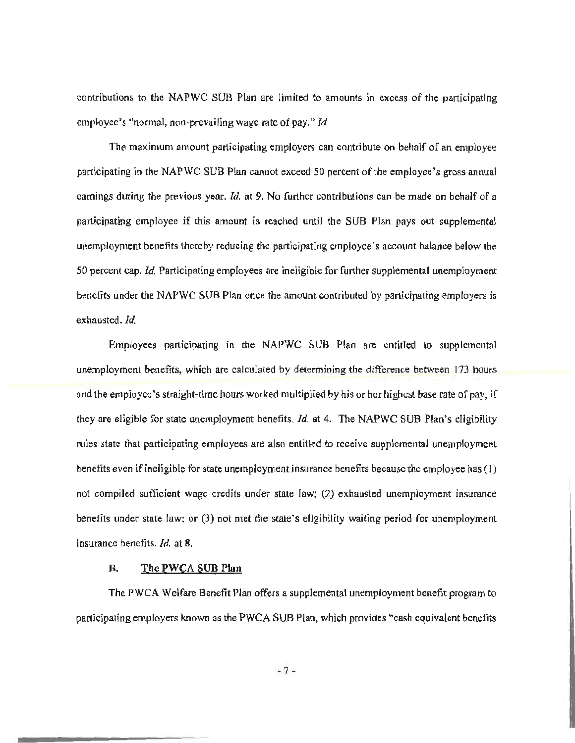contributions to the NAPWC SUB Plan are limited to amounts in excess of the participating employee's "normal, non·prevailing wage rate of pay." *Id.* 

The maximum amount participating employers can contribute on behalf of an employee participating in the NAPWC SUB Plan cannot exceed 50 percent of the employee's gross annual earnings during the previous year. *Id.* at 9. No further contributions can be made on behalf of a participating employee if this amount is reached until the SUB Plan pays out supplemental unemployment benefits thereby reducing the participating employee's account balance below the 50 percent cap. *Id.* Participating employees are ineligible for further supplemental unemployment benefits under the NAPWC SUB Plan once the amount contributed by participating employers is exhausted. *Id.* 

Employees participating in the NAPWC SUB Plan are entitled to supplemental unemployment benefits, which are calculated by determining the difference between 173 hours and the employee's straight-time hours worked multiplied by his or her highest base rate of pay, if they are eligible for state unemployment benefits. *Id.* at 4. The NAPWC SUB Plan's eligibility rules state that participating employees are also entitled to receive supplemental unemployment benefits even if ineligible for state unemployment insurance benefits because the employee has (1) not compiled sufficient wage credits under state law; (2) exhausted unemployment insurance benefits under state law; or (3) not met the state's eligibility waiting period for unemployment insurance benefits. *Id.* at 8.

#### B. The PWCA SUB Plan

The PWCA Welfare Benefit Plan offers a supplemental unemployment benefit program to participating employers known as the PWCA SUB Plan, which provides "cash equivalent benefits

• 7 -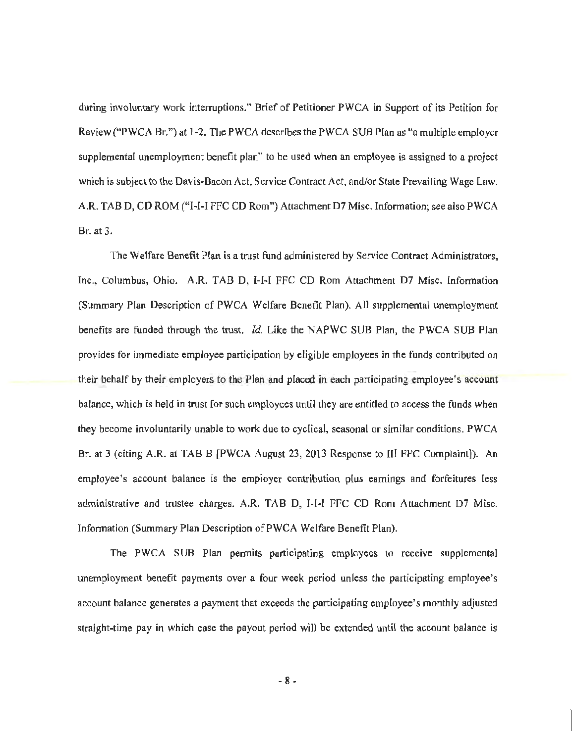during involuntary work intenuptions." Brief of Petitioner PWCA in Support of its Petition for Review ("PWCA Br.") at 1-2. The PWCA describes the PWCA SUB Plan as "a multiple employer supplemental unemployment benefit plan" to be used when an employee is assigned to a project which is subject to the Davis-Bacon Act, Service Contract Act, and/or State Prevailing Wage Law. A.R. TAB D, CD ROM ("I-I-I FFC CD Rom") Attachment D7 Misc. Information; see also PWCA Br. at 3.

The Welfare Benefit Plan is a trust fund administered by Service Contract Administrators, Inc., Columbus, Ohio. A.R. TAB 0, I-l-1 FFC CO Rom Attachment 07 Misc. lnfonnation (Summary Plan Description of PWCA Welfare Benefit Plan). All supplemental unemployment benefits are funded through the trust. *Id.* Like the NAPWC SUB Plan, the PWCA SUB Plan provides for immediate employee participation by eligible employees in the funds contributed on their behalf by their employers to the Plan and placed in each participating employee's account balance, which is held in trust for such employees until they are entitled to access the funds when they become involuntarily unable to work due to cyclical, seasonal or similar conditions. PWCA Br. at 3 (citing A.R. at TAB B [PWCA August 23, 2013 Response to III FFC Complaint]). An employee's account balance is the employer contribution plus earnings and forfeitures less administrative and trustee charges. A.R. TAB D, 1-1-1 FFC CD Rom Attachment 07 Misc. Information (Summary Plan Description of PWCA Welfare Benefit Plan).

The PWCA SUB Plan permits participating employees to receive supplemental unemployment benefit payments over a four week period unless the participating employee's account balance generates a payment that exceeds the participating employee's monthly adjusted straight-time pay in which case the payout period will be extended until the account balance is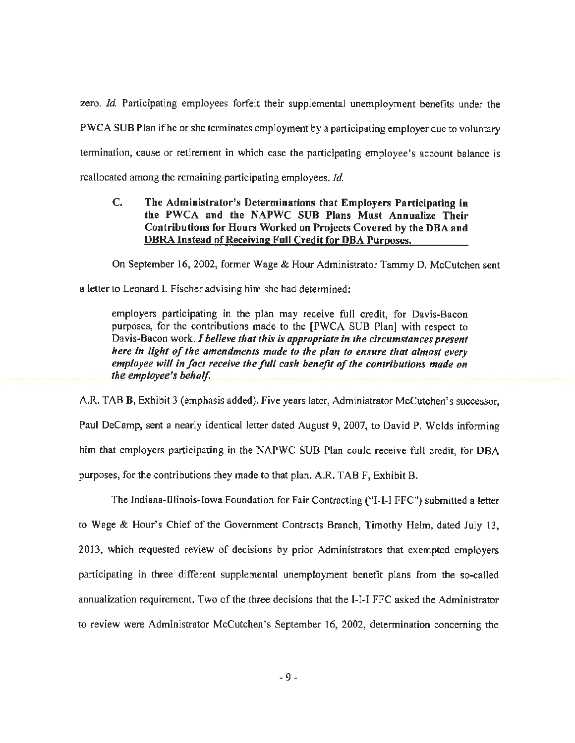zero. *Id.* Participating employees forfeit their supplemental unemployment benefits under the PWCA SUB Plan if he or she terminates employment by a participating employer due to voluntary termination, cause or retirement in which case the participating employee's account balance is reallocated among the remaining participating employees. *Id* 

## C. The Administrator's Determinations that Employers Participating in the PWCA and the NAPWC SUB Plans Must Annualize Their Contributions for Hours Worked on Projects Covered by the DBA and DBRA Instead of Receiving Full Credit for DBA Purposes.

On September 16, 2002, former Wage & Hour Administrator Tammy D. McCutchen sent

a letter to Leonard I. Fischer advising him she had determined:

employers participating in the plan may receive full credit, for Davis-Bacon purposes, for the contributions made to the [PWCA SUB Plan] with respect to Davis-Bacon work. *I believe that this is appropriate in the circumstances present here in light of the amendments made to the plan to ensure that almost every employee will in fact receive the full cash benefit of the contributions made on the employee's behalf.* 

A.R. TABB, Exhibit 3 (emphasis added). Five years later, Administrator McCutchen's successor, Paul DeCamp, sent a nearly identical letter dated August 9, 2007, to David P. Wolds informing him that employers participating in the NAPWC SUB Plan could receive full credit, for OBA purposes, for the contributions they made to that plan. A.R. TAB F, Exhibit B.

The Indiana-Illinois-Iowa Foundation for Fair Contracting ("I-I-I FFC") submitted a letter to Wage & Hour's Chief of the Government Contracts Branch, Timothy Helm, dated July 13, 2013, which requested review of decisions by prior Administrators that exempted employers participating in three different supplemental unemployment benefit plans from the so-called annualization requirement. Two of the three decisions that the I-I-I FFC asked the Administrator to review were Administrator McCutchen's September 16, 2002, detennination concerning the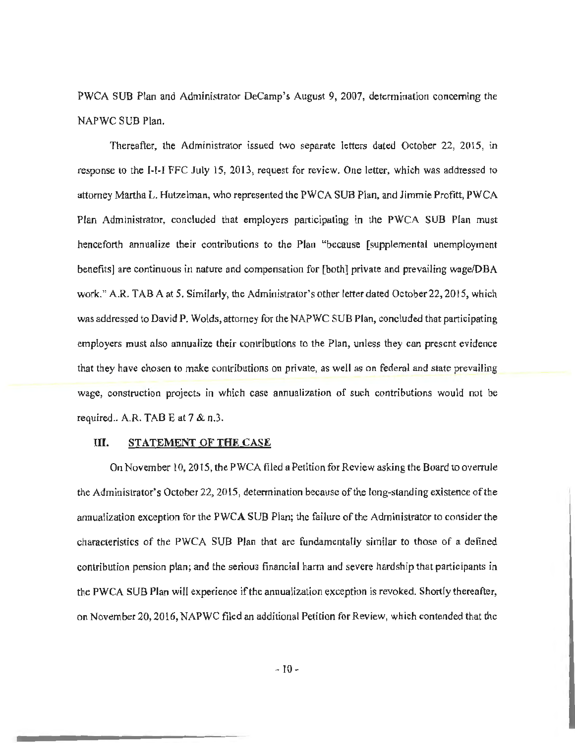PWCA SUB Plan and Administrator DeCamp's August 9, 2007, detennination concerning the NAPWC SUB Plan.

Thereafter, the Administrator issued two separate letters dated October 22, 2015, in response to the I-I-I FFC July 15, 2013, request for review. One letter, which was addressed to attorney Martha L. Hutzelman, who represented the PWCA SUB Plan, and Jimmie Profitt, PWCA Plan Administrator, concluded that employers participating in the PWCA SUB Plan must henceforth annualize their contributions to the Plan "because [supplemental unemployment benefits] are continuous in nature and compensation for [both] private and prevailing wage/OBA work." A.R. TAB A at 5. Similarly, the Administrator's other letter dated October 22, 2015, which was addressed to David P. Wolds, attorney for the NAPWC SUB Plan, concluded that participating employers must also annualize their contributions to the Plan, unless they can present evidence that they have chosen to make contributions on private, as well as on federal and state prevailing wage, construction projects in which case annualization of such contributions would not be required.. A.R. TAB E at 7 & n.3.

#### III. STATEMENT OF THE CASE

On November 10, 2015, the PWCA filed a Petition for Review asking the Board to overrule the Administrator's October 22, 2015, detennination because of the long-standing existence of the annualization exception for the PWCA SUB Plan; the failure of the Administrator to consider the characteristics of the PWCA SUB Plan that are fundamentally similar to those of a defined contribution pension plan; and the serious financial harm and severe hardship that participants in the PWCA SUB Plan will experience if the annualization exception is revoked. Shortly thereafter, on November 20, 2016, NAPWC filed an additional Petition for Review, which contended that the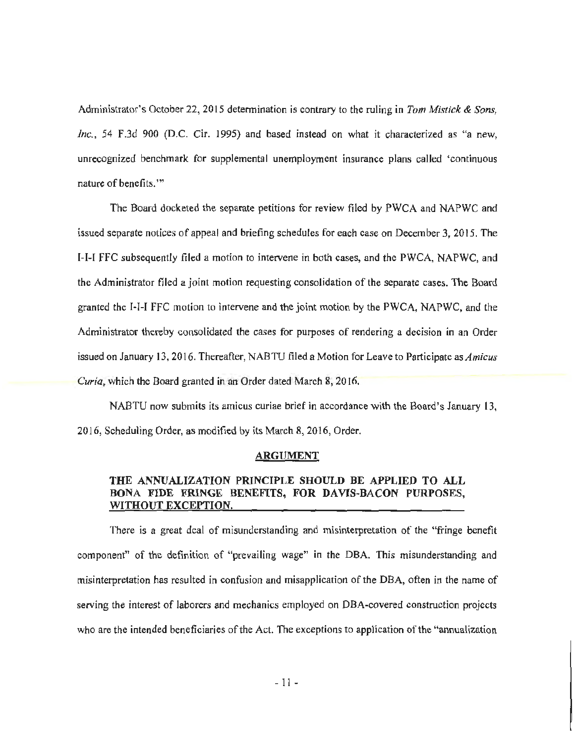Administrator's October 22, 2015 detennination is contrary to the ruling in *Tom Mistick* & *Sons, Inc.,* 54 F.3d 900 (D.C. Cir. 1995) and based instead on what it characterized as "a new, unrecognized benchmark for supplemental unemployment insurance plans called 'continuous nature of benefits.'"

The Board docketed the separate petitions for review filed by PWCA and NAPWC and issued separate notices of appeal and briefing schedules for each case on December 3, 2015. The 1-1-I FFC subsequently filed a motion to intervene in both cases, and the PWCA, NAPWC, and the Administrator filed a joint motion requesting consolidation of the separate cases. The Board granted the I-1-1 FFC motion to intervene and the joint motion by the PWCA, NAPWC, and the Administrator thereby consolidated the cases for purposes of rendering a decision in an Order issued on January 13, 2016. Thereafter, NAB TU filed a Motion for Leave to Participate as *Amicus Curia,* which the Board granted in an Order dated March 8, 2016.

NABTU now submits its amicus curiae brief in accordance with the Board's January 13, 2016, Scheduling Order, as modified by its March 8, 2016, Order.

#### ARGUMENT

## THE ANNUALIZATION PRINCIPLE SHOULD BE APPLIED TO ALL BONA FIDE FRINGE BENEFITS, FOR DAVIS-BACON PURPOSES, WITHOUT EXCEPTION.

There is a great deal of misunderstanding and misinterpretation of the "fringe benefit componen<sup>t</sup>" of the definition of "prevailing wage" in the OBA. This misunderstanding and misinterpretation has resulted in confusion and misapplication of the OBA, often in the name of serving the interest of laborers and mechanics employed on OBA-covered construction projects who are the intended beneficiaries of the Act. The exceptions to application of the "annualization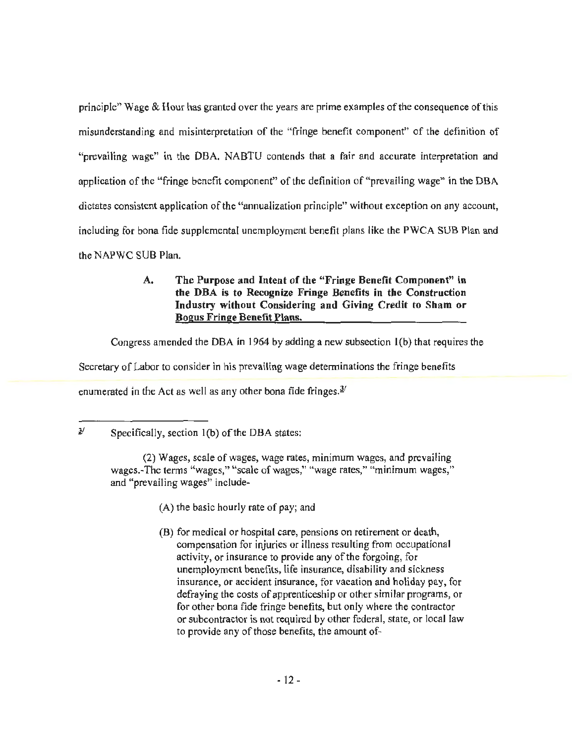principle" Wage & Hour has granted over the years are prime examples of the consequence of this misunderstanding and misinterpretation of the "fringe benefit component" of the definition of "prevailing wage" in the OBA. NABTU contends that a fair and accurate interpretation and application of the "fringe benefit component" of the definition of "prevailing wage" in the DBA dictates consistent application of the "annualization principle" without exception on any account, including for bona fide supplemental unemployment benefit plans like the PWCA SUB Plan and the NAPWC SUB Plan.

## A. The Purpose and Intent of the "Fringe Benefit Component" in the DBA is to Recognize Fringe Benefits in the Construction Industry without Considering and Giving Credit to Sham or Bogus Fringe Benefit Plans.

Congress amended the OBA in 1964 by adding a new subsection l(b) that requires the

Secretary of Labor to consider in his prevailing wage determinations the fringe benefits

enumerated in the Act as well as any other bona fide fringes. $\frac{3}{2}$ 

- (A) the basic hourly rate of pay; and
- (B) for medical or hospital care, pensions on retirement or death, compensation for injuries or illness resulting from occupational activity, or insurance to provide any of the forgoing, for unemployment benefits, life insurance, disability and sickness insurance, or accident insurance, for vacation and holiday pay, for defraying the costs of apprenticeship or other similar programs, or for other bona fide fringe benefits, but only where the contractor or subcontractor is not required by other federal, state, or local law to provide any of those benefits, the amount of-

 $\frac{3}{1}$  Specifically, section 1(b) of the DBA states:

<sup>(2)</sup> Wages, scale of wages, wage rates, minimum wages, and prevailing wages.-The terms "wages," "scale of wages," "wage rates," "minimum wages," and "prevailing wages" include-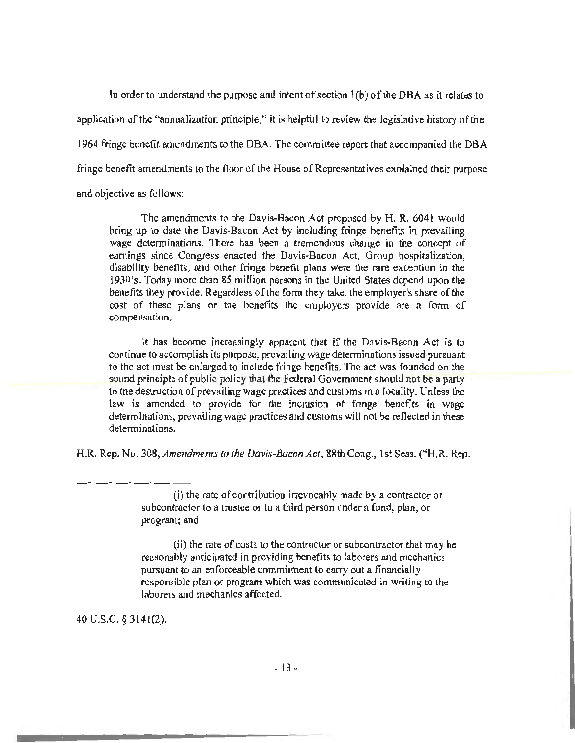In order to understand the purpose and intent of section l(b) of the DBA as it relates to application of the "annualization principle," it is helpful to review the legislative history of the 1964 fringe benefit amendments to the OBA. The committee report that accompanied the DBA fringe benefit amendments to the floor of the House of Representatives explained their purpose and objective as follows:

The amendments *to* the Davis-Bacon Act proposed by H. R. 6041 would bring up to date the Davis-Bacon Act by including fringe benefits in prevailing wage determinations. There has been a tremendous change in the concept of earnings since Congress enacted the Davis-Bacon Act. Group hospitalization, disability benefits, and other fringe benefit plans were the rare exception in the l 930's. Today more than 85 million persons in the United States depend upon the benefits they provide. Regardless of the form they take, the employer's share of the cost of these plans or the benefits the employers provide are a form of compensation.

It has become increasingly apparent that if the Davis-Bacon Act is to continue to accomplish its purpose, prevailing wage detenninations issued pursuant to the act must be enlarged to include fringe benefits. The act was founded on the sound principle of public policy that the Federal Government should not be a party to the destruction of prevailing wage practices and customs in a locality. Unless the law is amended to provide for the inclusion of fringe benefits in wage determinations, prevailing wage practices and customs will not be reflected in these determinations.

H.R. Rep. No. 308, *Amendments to the Davis-Bacon Act,* 88th Cong., I *st* Sess. ("H.R. Rep.

(ii) the rate of costs to the contractor or subcontractor that may be reasonably anticipated in providing benefits to laborers and mechanics pursuant to an enforceable commitment to carry out a financially responsible plan or program which was communicated in writing to the laborers and mechanics affected.

40 u.s.c. § 3141(2).

<sup>(</sup>i) the rate of contribution irrevocably made by a contractor or subcontractor to a trustee or to a third person under a fund, plan, or program; and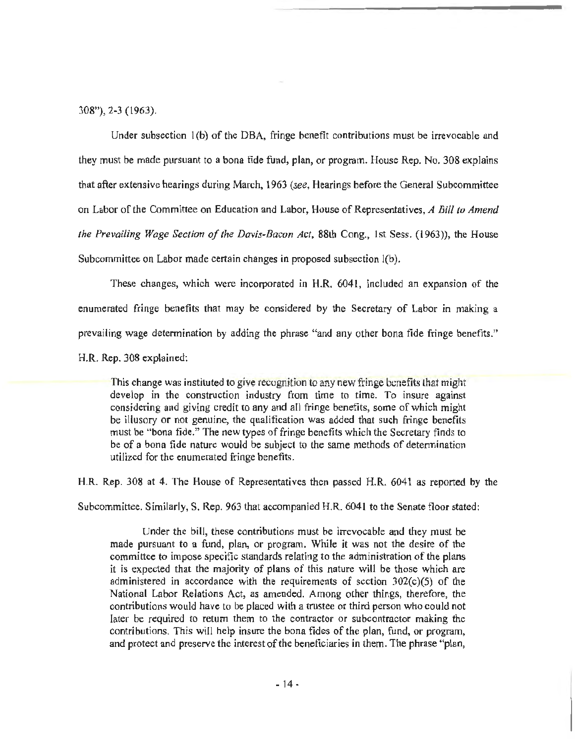$308$ "), 2-3 (1963).

Under subsection l(b) of the DBA, fringe benefit contributions must be irrevocable and they must be made pursuant to a bona fide fund, plan, or program. House Rep. No. 308 explains that after extensive hearings during March, 1963 *(see,* Hearings before the General Subcommittee on Labor of the Committee on Education and Labor, House of Representatives, *A Bill to Amend the Prevailing Wage Section of the Davis-Bacon Act, 88th Cong., 1st Sess. (1963)), the House* Subcommittee on Labor made certain changes in proposed subsection l(b).

These changes, which were incorporated in H.R. 6041, included an expansion of the enumerated fringe benefits that may be considered by the Secretary of Labor in making a prevailing wage determination by adding the phrase "and any other bona fide fringe benefits."

H.R. Rep. 308 explained:

This change was instituted to give recognition to any new fringe benefits that might develop in the construction industry from time to time. To insure against considering and giving credit to any and all fringe benefits, some of which might be illusory or not genuine, the qualification was added that such fringe benefits must be "bona fide." The new types of fringe benefits which the Secretary finds to be of a bona fide nature would be subject to the same methods of determination utilized for the enumerated fringe benefits.

H.R. Rep. 308 at 4. The House of Representatives then passed H.R. 6041 as reported by the

Subcommittee. Similarly, S. Rep. 963 that accompanied H.R. 6041 to the Senate floor stated:

Under the bill, these contributions must be irrevocable and they must be made pursuant to a fund, plan, or program. While it was not the desire of the committee to impose specific standards relating to the administration of the plans it is expected that the majority of plans of this nature will be those which are administered in accordance with the requirements of section 302(c)(5) of the National Labor Relations Act, as amended. Among other things, therefore, the contributions would have to be placed with a trustee or third person who could not later be required to return them to the contractor or subcontractor making the contributions. This will help insure the bona fides of the plan, fund, or program, and protect and preserve the interest of the beneficiaries in them. The phrase "plan,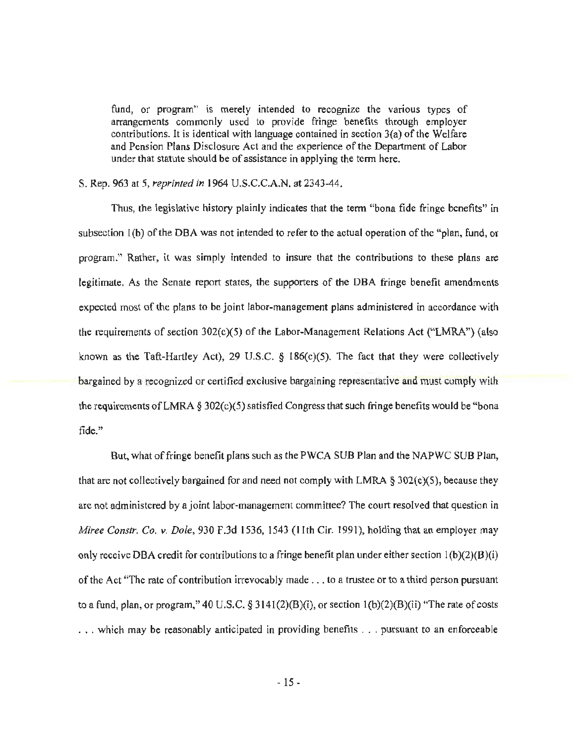fund, or program" is merely intended to recognize the various types of arrangements commonly used to provide fringe benefits through employer contributions. It is identical with language contained in section 3(a) of the Welfare and Pension Plans Disclosure Act and the experience of the Department of Labor under that statute should be of assistance in applying the tenn here.

#### S. Rep. 963 at *5, reprinted in* 1964 U.S.C.C.A.N. at 2343-44.

Thus, the legislative history plainly indicates that the term "bona fide fringe benefits" in subsection l(b) of the DBA was not intended to refer to the actual operation of the "plan, fund, or program." Rather, it was simply intended to insure that the contributions to these plans are legitimate. As the Senate report states, the supporters of the OBA fringe benefit amendments expected most of the plans to be joint labor-management plans administered in accordance with the requirements of section 302(c)(S) of the Labor-Management Relations Act ("LMRA") (also known as the Taft-Hartley Act), 29 U.S.C. *§* 186(c)(5). The fact that they were collectively bargained by a recognized or certified exclusive bargaining representative and must comply with the requirements of LMRA § 302(c)(5) satisfied Congress that such fringe benefits would be "bona fide."

But, what of fringe benefit plans such as the PWCA SUB Plan and the NAPWC SUB Plan, that are not collectively bargained for and need not comply with LMRA *§* 302(c)(5), because they are not administered by a joint labor-management committee? The court resolved that question in *Miree Constr. Co. v. Dole,* 930 F.3d 1536, 1543 (I !th Cir. 1991), holding that an employer may only receive DBA credit for contributions to a fringe benefit plan under either section  $1(b)(2)(B)(i)$ of the Act "The rate of contribution irrevocably made ... to a trustee or to a third person pursuant to a fund, plan, or program," 40 U.S.C. *§* 3141(2)(B)(i), or section l(b)(2)(B)(ii) "The rate of costs ... which may be reasonably anticipated in providing benefits ... pursuant to an enforceable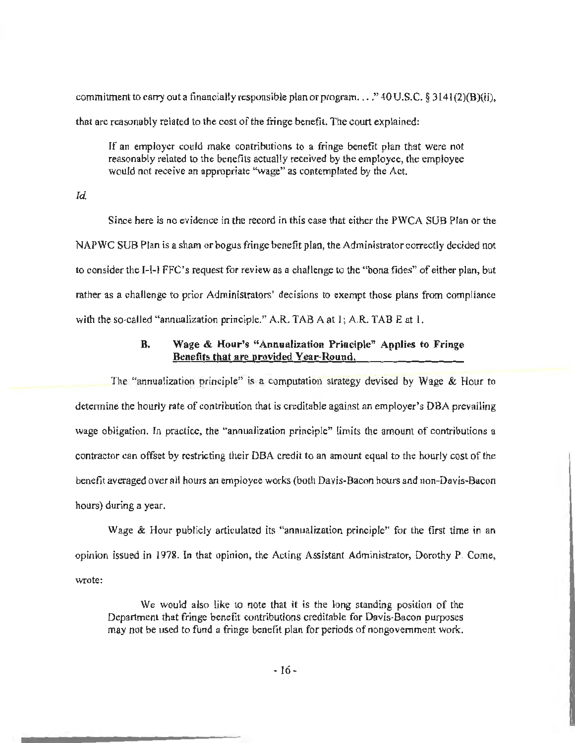commitment to carry out a financially responsible plan or program .... " 40 U .S.C. *§* 3141 (2)(B)(ii), that are reasonably related to the cost of the fringe benefit. The court explained:

If an employer could make contributions to a fringe benefit plan that were not reasonably related to the benefits actually received by the employee, the employee would not receive an appropriate "wage" as contemplated by the Act.

#### *Id.*

Since here is no evidence in the record in this case that either the PWCA SUB Plan or the NAPWC SUB Plan is a sham or bogus fringe benefit plan, the Administrator correctly decided not to consider the 1-1-1 FFC's request for review as a challenge to the "bona fides" of either plan, but rather as a challenge to prior Administrators' decisions to exempt those plans from compliance with the so-called "annualization principle." A.R. TAB A at 1; A.R. TAB E at 1.

## B. Wage & Hour's "Annualization Principle" Applies to Fringe Benefits that are provided Year-Round.

The "annualization principle" is a computation strategy devised by Wage & Hour to determine the hourly rate of contribution that is creditable against an employer's OBA prevailing wage obligation. In practice, the "annualization principle" limits the amount of contributions a contractor can offset by restricting their OBA credit to an amount equal to the hourly cost of the benefit averaged over all hours an employee works (both Davis-Bacon hours and non-Davis-Bacon hours) during a year.

Wage & Hour publicly articulated its "annualization principle" for the first time in an opinion issued in 1978. In that opinion, the Acting Assistant Administrator, Dorothy P. Come, wrote:

We would also like to note that it is the long standing position of the Department that fringe benefit contributions creditable for Davis-Bacon purposes may not be used to fund a fringe benefit plan for periods of nongovemment work.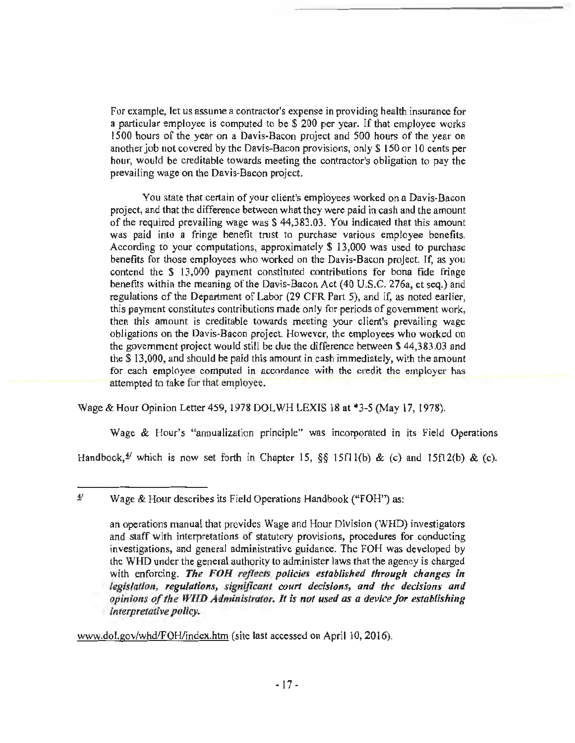For example, let *us* assume a contractor's expense in providing health insurance for a particular employee is computed to be\$ 200 per year. If that employee works l *500* hours of the year on a Davis-Bacon project and 500 hours of the year on another job not covered by the Davis-Bacon provisions, only\$ 150 or 10 cents per hour, would be creditable towards meeting the contractor's obligation to pay the prevailing wage on the Davis-Bacon project.

You state that certain of your client's employees worked on a Davis-Bacon project, and that the difference between what they were paid in cash and the amount of the required prevailing wage was\$ 44,383.03. You indicated that this amount was paid into a fringe benefit trust to purchase various employee benefits. According to your computations, approximately \$ 13,000 was used to purchase benefits for those employees who worked on the Davis-Bacon project. If, as you contend the \$ 13,000 payment constituted contributions for bona fide fringe benefits within the meaning of the Davis-Bacon Act (40 U.S.C. 276a, et seq.) and regulations of the Department of Labor (29 CFR Part 5), and if, as noted earlier, this payment constitutes contributions made only for periods of government work, then this amount is creditable towards meeting your client's prevailing wage obligations on the Davis-Bacon project. However, the employees who worked on the government project would still be due the difference between \$ 44,383.03 and the \$13,000, and should be paid this amount in cash immediately, with the amount for each employee computed in accordance with the credit the employer has attempted to take for that employee.

Wage & Hour Opinion Letter 459, 1978 DOLWH LEXIS 18 at \*3-5 (May 17, 1978).

Wage & Hour's "annualization principle" was incorporated in its Field Operations

Handbook,<sup> $\frac{4}{3}$ </sup> which is now set forth in Chapter 15,  $\S$ § 15fl l(b) & (c) and 15fl 2(b) & (c).

www.dol.gov/whd/FOH/index.htm (site last accessed on April 10, 2016).

*it* Wage & Hour describes its Field Operations Handbook ("FOH") as:

an operations manual that provides Wage and Hour Division (WHD) investigators and staff with interpretations of statutory provisions, procedures for conducting investigations, and general administrative guidance. The FOH was developed by the WHO under the general authority to administer laws that the agency is charged with enforcing. The FOH reflects policies established through changes in *legislation, regulations, significant court decisions, and the decisions and opinions of the WHD Administrator. It is not used as a device for establishing interpretative policy.*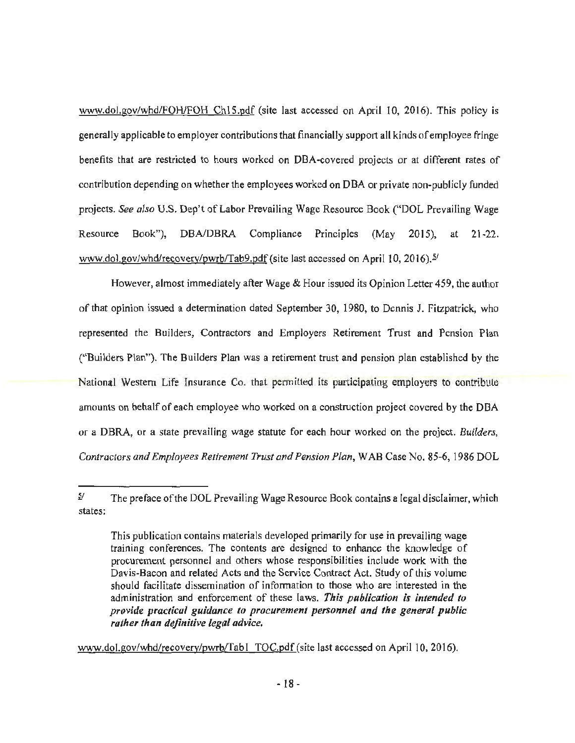www.dol.gov/whd/FOH/FOH Ch15.pdf (site last accessed on April 10, 2016). This policy is generally applicable to employer contributions that financially support all kinds of employee fringe benefits that are restricted to hours worked on OBA-covered projects or at different rates of contribution depending on whether the employees worked on DBA or private non-publicly funded projects. *See also* U.S. Dep't of Labor Prevailing Wage Resource Book ("DOL Prevailing Wage Resource Book"), DBA/OBRA Compliance Principles (May 2015), at 21-22. www.dol.gov/whd/recovery/pwrb/Tab9.pdf (site last accessed on April 10, 2016).<sup>5/</sup>

However, almost immediately after Wage & Hour issued its Opinion Letter 459, the author of that opinion issued a determination dated September 30, 1980, to Dennis J. Fitzpatrick, who represented the Builders, Contractors and Employers Retirement Trust and Pension Plan ("Builders Plan"). The Builders Plan was a retirement trust and pension plan established by the National Western Life Insurance Co. that permitted its participating employers to contribute amounts on behalf of each employee who worked on a construction project covered by the OBA or a DBRA, or a state prevailing wage statute for each hour worked on the project. *Builders, Contractors and Employees Retirement Trust and Pension Plan,* W AB Case No. 85-6, 1986 DOL

www.dol.gov/whd/recovery/pwrb/Tabl TOC.pdf (site last accessed on April 10, 2016).

 $5/$ The preface of the DOL Prevailing Wage Resource Book contains a legal disclaimer, which states:

This publication contains materials developed primarily for use in prevailing wage training conferences. The contents are designed to enhance the knowledge of procurement personnel and others whose responsibilities include work with the Davis-Bacon and related Acts and the Service Contract Act. Study of this volume should facilitate dissemination of information to those who are interested in the administration and enforcement of these laws. This publication is intended to *provide practical guidance to procurement personnel and the general public rather than definitive legal advice.*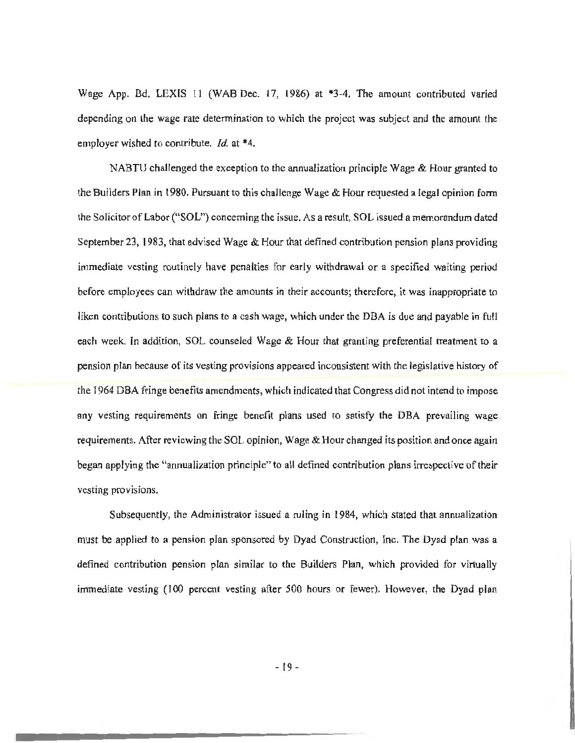Wage App. Bd. LEXIS 11 (WAB Dec. 17, 1986) at \*3-4. The amount contributed varied depending on the wage rate determination to which the project was subject and the amount the employer wished to contribute. *Id.* at \*4.

NABTU challenged the exception to the annualization principle Wage & Hour granted to the Builders Plan in 1980. Pursuant to this challenge Wage & Hour requested a legal opinion form the Solicitor of Labor ("SOL") concerning the issue. As a result, SOL issued a memorandum dated September 23, 1983, that advised Wage & Hour that defined contribution pension plans providing immediate vesting routinely have penalties for early withdrawal or a specified waiting period before employees can withdraw the amounts in their accounts; therefore, it was inappropriate to liken contributions to such plans to a cash wage, which under the DBA is due and payable in full each week. In addition, SOL counseled Wage & Hour that granting preferential treatment to a pension plan because of its vesting provisions appeared inconsistent with the legislative history of the 1964 DBA fringe benefits amendments, which indicated that Congress did not intend to impose any vesting requirements on fringe benefit plans used to satisfy the DBA prevailing wage requirements. After reviewing the SOL opinion, Wage & Hour changed its position and once again began applying the "annualization principle" to all defined contribution plans irrespective of their vesting provisions.

Subsequently, the Administrator issued a ruling in 1984, which stated that annualization must be applied to a pension plan sponsored by Dyad Construction, Inc. The Dyad plan was a defined contribution pension plan similar to the Builders Plan, which provided for virtually immediate vesting (100 percent vesting after 500 hours or fewer). However, the Dyad plan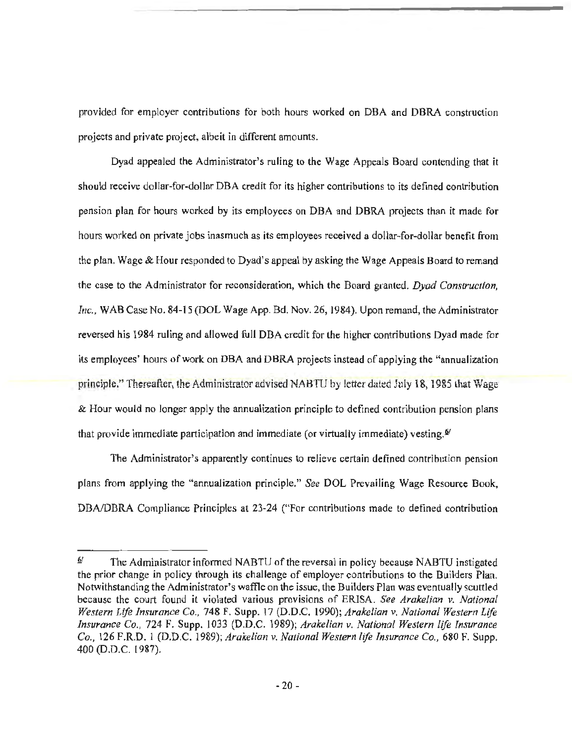provided for employer contributions for both hours worked on DBA and DBRA construction projects and private project, albeit in different amounts.

Dyad appealed the Administrator's ruling to the Wage Appeals Board contending that it should receive dollar-for-dollar OBA credit for its higher contributions to its defined contribution pension plan for hours worked by its employees on DBA and DBRA projects than it made for hours worked on private jobs inasmuch as its employees received a dollar-for-dollar benefit from the plan. Wage & Hour responded to Dyad's appeal by asking the Wage Appeals Board to remand the case to the Administrator for reconsideration, which the Board granted. *Dyad Construction, Inc.,* WAB Case No. 84-15 (DOL Wage App. Bd. Nov. 26, 1984). Upon remand, the Administrator reversed his 1984 ruling and allowed full OBA credit for the higher contributions Dyad made for its employees' hours of work on DBA and DBRA projects instead of applying the "annualization principle." Thereafter, the Administrator advised NABTU by letter dated July 18, 1985 that Wage & Hour would no longer apply the annualization principle to defined contribution pension plans that provide immediate participation and immediate (or virtually immediate) vesting. $\mathbf{S}$ 

The Administrator's apparently continues to relieve certain defined contribution pension plans from applying the "annualization principle." *See* DOL Prevailing Wage Resource Book, DBAJDBRA Compliance Principles at 23-24 ("For contributions made *to* defined contribution

 $\frac{6}{1}$  The Administrator informed NABTU of the reversal in policy because NABTU instigated the prior change in policy through its challenge of employer contributions to the Builders Plan. Notwithstanding the Administrator's waffle on the issue, the Builders Plan was eventually scuttled because the court found it violated various provisions of ERISA. *See Arakelian v. National Western Life Insurance Co.,* 748 F. Supp. 17 (D.D.C. 1990); *Arakelian v. National Western Life Insurance Co.,* 724 F. Supp. 1033 (D.D.C. 1989); *Arakelian v. National Western life Insurance Co.,* 126 F.R.D. 1 (D.D.C. 1989); *Arakelian v. National Western life Insurance Co.,* 680 F. Supp. 400 (D.D.C. l 987).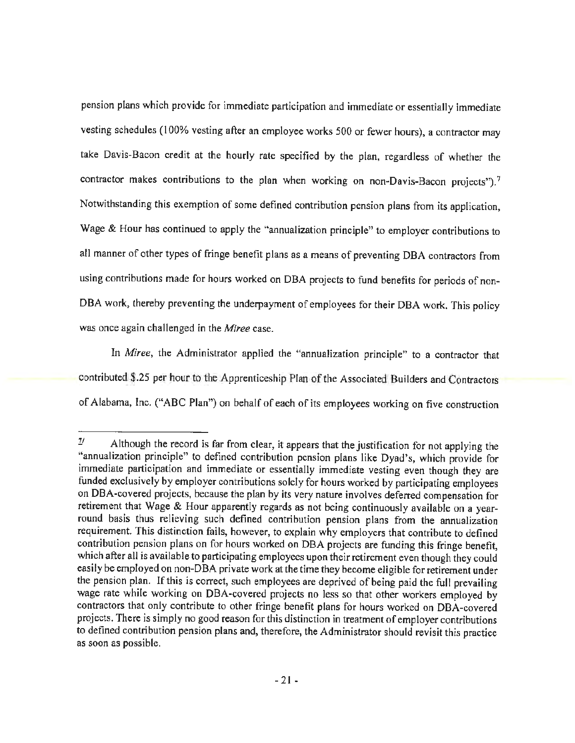pension plans which provide for immediate participation and immediate or essentially immediate vesting schedules (100% vesting after an employee works 500 or fewer hours), a contractor may take Davis-Bacon credit at the hourly rate specified by the plan, regardless of whether the contractor makes contributions to the plan when working on non-Davis-Bacon projects").<sup>7</sup> Notwithstanding this exemption of some defined contribution pension plans from its application, Wage & Hour has continued to apply the "annualization principle" to employer contributions to all manner of other types of fringe benefit plans as a means of preventing OBA contractors from using contributions made for hours worked on OBA projects to fund benefits for periods of non-OBA work, thereby preventing the underpayment of employees for their OBA work. This policy was once again challenged in the *Miree* case.

In *Miree,* the Administrator applied the "annualization principle" to a contractor that contributed \$.25 per hour to the Apprenticeship Plan of the Associated Builders and Contractors of Alabama, Inc. ("ABC Plan") on behalf of each of its employees working on five construction

*<sup>11</sup>* Although the record is far from clear, it appears that the justification for not applying the "annualization principle" to defined contribution pension plans like Dyad's, which provide for immediate participation and immediate or essentially immediate vesting even though they are funded exclusively by employer contributions solely for hours worked by participating employees on DBA-covered projects, because the plan by its very nature involves deferred compensation for retirement that Wage & Hour apparently regards as not being continuously available on a yearround basis thus relieving such defined contribution pension plans from the annualization requirement. This distinction fails, however, to explain why employers that contribute to defined contribution pension plans on for hours worked on OBA projects are funding this fringe benefit, which after all is available to participating employees upon their retirement even though they could easily be employed on non-DBA private work at the time they become eligible for retirement under the pension plan. If this is correct, such employees are deprived of being paid the full prevailing wage rate while working on OBA-covered projects no less so that other workers employed by contractors that only contribute to other fringe benefit plans for hours worked on OBA-covered projects. There is simply no good reason for this distinction in treatment of employer contributions to defined contribution pension plans and, therefore, the Administrator should revisit this practice as soon as possible.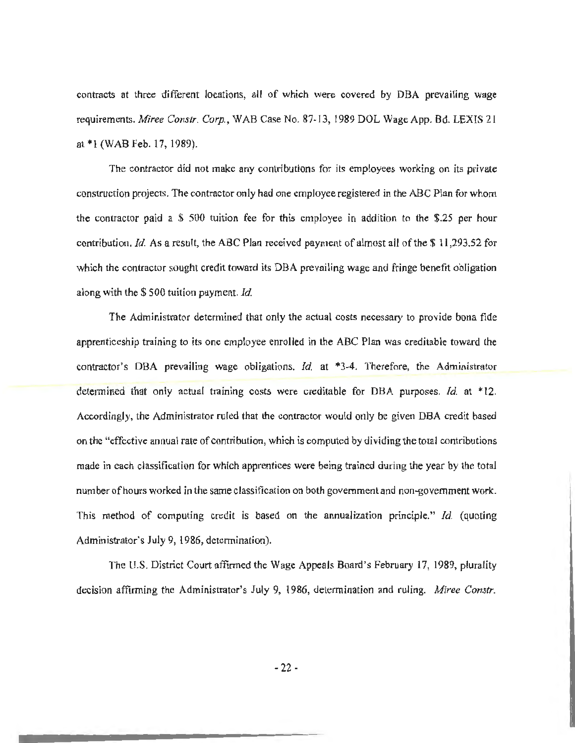contracts at three different locations, all of which were covered by OBA prevailing wage requirements. *Miree Constr. Corp.,* WAB Case No. 87-13, 1989 DOL Wage App. Bd. LEXIS 21 at \*l (WAB Feb. 17, 1989).

The contractor did not make any contributions for its employees working on its private construction projects. The contractor only had one employee registered in the ABC Plan for whom the contractor paid a \$ 500 tuition fee for this employee in addition to the \$.25 per hour contribution. *Id.* As a result, the ABC Plan received payment of almost all of the \$ 11,293.52 for which the contractor sought credit toward its OBA prevailing wage and fringe benefit obligation along with the \$ 500 tuition payment. *Id.* 

The Administrator determined that only the actual costs necessary to provide bona fide apprenticeship training to its one employee enrolled in the ABC Plan was creditable toward the contractor's OBA prevailing wage obligations. *Id.* at \*3-4. Therefore, the Administrator determined that only actual training costs were creditable for OBA purposes. *Id.* at \* 12. Accordingly, the Administrator ruled that the contractor would only be given OBA credit based on the "effective annual rate of contribution, which is computed by dividing the total contributions made in each classification for which apprentices were being trained during the year by the total number of hours worked in the same classification on both government and non-government work. This method of computing credit is based on the annualization principle." *Id.* (quoting Administrator's July 9, 1986, determination).

The U.S. District Court affirmed the Wage Appeals Board's February 17, 1989, plurality decision affirming the Administrator's July 9, 1986, determination and ruling. *Miree Constr.*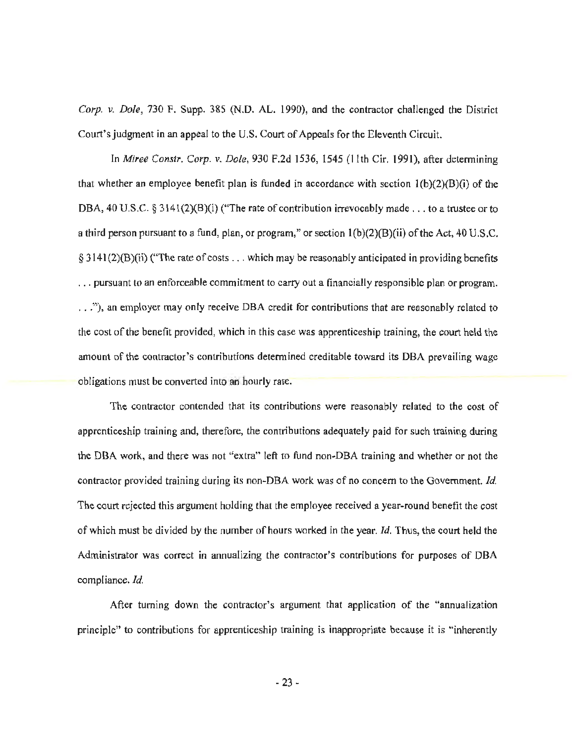*Corp. v. Dole,* 730 F. Supp. 385 (N.D. AL. 1990), and the contractor challenged the District Court's judgment in an appeal to the U.S. Court of Appeals for the Eleventh Circuit.

In *Miree Constr. Corp. v. Dole*, 930 F.2d 1536, 1545 (11th Cir. 1991), after determining that whether an employee benefit plan is funded in accordance with section  $1(b)(2)(B)(i)$  of the DBA, 40 U.S.C. § 3141(2)(B)(i) ("The rate of contribution irrevocably made . . . to a trustee or to a third person pursuant to a fund, plan, or program," or section  $1(b)(2)(B)(ii)$  of the Act, 40 U.S.C.  $§$  3141(2)(B)(ii) ("The rate of costs ... which may be reasonably anticipated in providing benefits ... pursuant to an enforceable commitment *to* carry out a financially responsible plan or program . . . . "), an employer may only receive OBA credit for contributions that are reasonably related to the cost of the benefit provided, which in this case was apprenticeship training, the court held the amount of the contractor's contributions determined creditable toward its DBA prevailing wage obligations must be converted into an hourly rate.

The contractor contended that its contributions were reasonably related to the cost of apprenticeship training and, therefore, the contributions adequately paid for such training during the OBA work, and there was not "extra" left to fund non-OBA training and whether or not the contractor provided training during its non-OBA work was of no concern to the Government. *Id.*  The court rejected this argument holding that the employee received a year-round benefit the cost of which must be divided by the number of hours worked in the year. *Id.* Thus, the court held the Administrator was correct in annualizing the contractor's contributions for purposes of OBA compliance. *Id.* 

After turning down the contractor's argument that application of the "annualization principle" to contributions for apprenticeship training is inappropriate because it is "inherently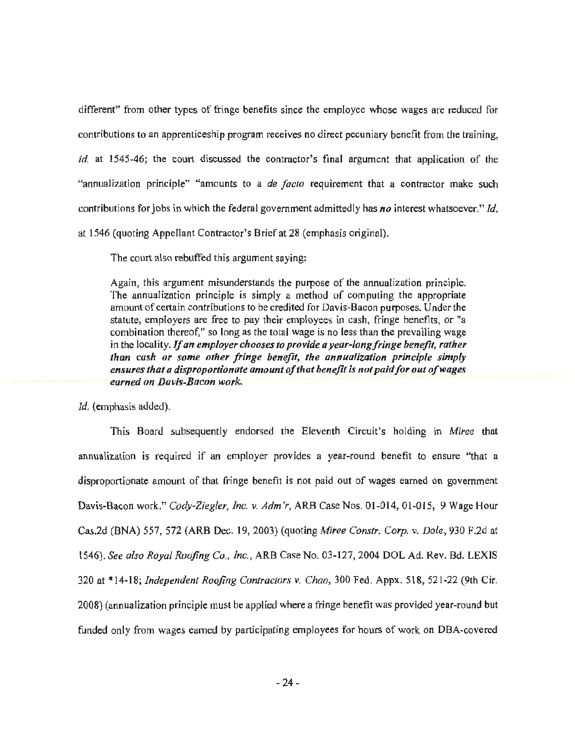different" from other types of fringe benefits since the employee whose wages are reduced for contributions to an apprenticeship program receives no direct pecuniary benefit from the training, *id.* at 1545-46; the court discussed the contractor's final argument that application of the "annualization principle" "amounts to a *de facto* requirement that a contractor make such contributions for jobs in which the federal government admittedly has *no* interest whatsoever." *Id.*  at 1546 (quoting Appellant Contractor's Brief at 28 (emphasis original).

The court also rebuffed this argument saying:

Again, this argument misunderstands the purpose of the annualization principle. The annualization principle is simply a method of computing the appropriate amount of certain contributions to be credited for Davis-Bacon purposes. Under the statute, employers are free to pay their employees in cash, fringe benefits, or "a combination thereof," so long as the total wage is no less than the prevailing wage in the locality. *If an employer chooses to provide a year-long fringe benefit, rather* than cash or some other fringe benefit, the annualization principle simply ensures that a disproportionate amount of that benefit is not paid for out of wages *earned on Davis-Bacon work.* 

Id. (emphasis added).

This Board subsequently endorsed the Eleventh Circuit's holding in *Miree* that annualization is required if an employer provides a year-round benefit to ensure "that a disproportionate amount of that fringe benefit is not paid out of wages earned on government Davis-Bacon work." *Cody-Ziegler, Inc. v. Adm'r,* ARB Case Nos. 01-014, 01-015, 9 Wage Hour Cas.2d (BNA) 557, 572 (ARB Dec. 19, 2003) (quoting *Miree Con.str. Corp. v. Dole,* 930 F.2d at 1546). *See also Royal Roofing Co., Inc.,* ARB Case No. 03-127, 2004 DOL Ad. Rev. Bd. LEXIS 320 at \* 14-18; *Independent Roofing Contractors v. Chao,* 300 Fed. Appx. 518, 521-22 (9th Cir. 2008) (annualization principle must be applied where a fringe benefit was provided year-round but funded only from wages earned by participating employees for hours of work on OBA-covered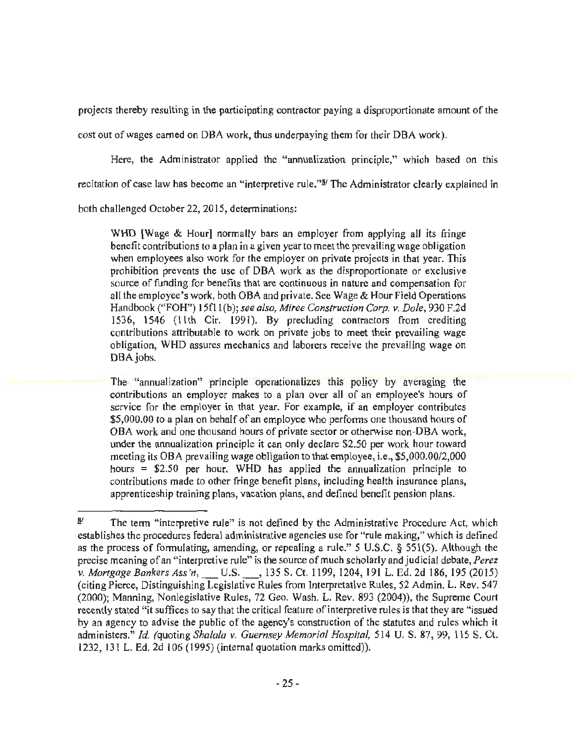projects thereby resulting in the participating contractor paying a disproportionate amount of the

cost out of wages earned on DBA work, thus underpaying them for their DBA work).

Here, the Administrator applied the "annualization principle," which based on this recitation of case law has become an "interpretive rule."<sup>8/</sup> The Administrator clearly explained in

both challenged October 22, 2015, determinations:

WHD [Wage & Hour] normally bars an employer from applying all its fringe benefit contributions to a plan in a given year to meet the prevailing wage obligation when employees also work for the employer on private projects in that year. This prohibition prevents the use of OBA work as the disproportionate or exclusive source of funding for benefits that are continuous in nature and compensation for all the employee's work, both OBA and private. See Wage & Hour Field Operations Handbook ("FOH") 15f11(b); see also, Miree Construction Corp. v. Dole, 930 F.2d 1536, 1546 (11th Cir. 1991). By precluding contractors from crediting contributions attributable to work on private jobs to meet their prevailing wage obligation, WHD assures mechanics and laborers receive the prevailing wage on DBA jobs.

The "annualization" principle operationalizes this policy by averaging the contributions an employer makes to a plan over all of an employee's hours of service for the employer in that year. For example, if an employer contributes \$5,000.00 to a plan on behalf of an employee who performs one thousand hours of OBA work and one thousand hours of private sector or otherwise non-OBA work, under the annualization principle it can only declare \$2.50 per work hour toward meeting its OBA prevailing wage obligation to that employee, i.e., \$5,000.00/2,000 hours = \$2.50 per hour. WHO has applied the annualization principle to contributions made to other fringe benefit plans, including health insurance plans, apprenticeship training plans, vacation plans, and defined benefit pension plans.

 $\frac{3}{4}$  The term "interpretive rule" is not defined by the Administrative Procedure Act, which establishes the procedures federal administrative agencies use for "rule making," which is defined as the process of formulating, amending, or repealing a rule." 5 U.S.C. *§* 551(5). Although the precise meaning of an "interpretive rule" is the source of much scholarly and judicial debate, *Perez v. Mortgage Bankers Ass'n,* \_U.S.\_, 135 S. Ct. 1199, 1204, 191 L. Ed. 2d 186, 195 (2015) (citing Pierce, Distinguishing Legislative Rules from Interpretative Rules, 52 Admin. L. Rev. 547 (2000); Manning, Nonlegislative Rules, 72 Geo. Wash. L. Rev. 893 (2004)), the Supreme Court recently stated "it suffices to say that the critical feature of interpretive rules is that they are "issued by an agency to advise the public of the agency's construction of the statutes and rules which it administers." *Id. (quoting Shalala v. Guernsey Memorial Hospital*, 514 U.S. 87, 99, 115 S. Ct. 1232, 131 L. Ed. 2d 106 (1995) (internal quotation marks omitted)).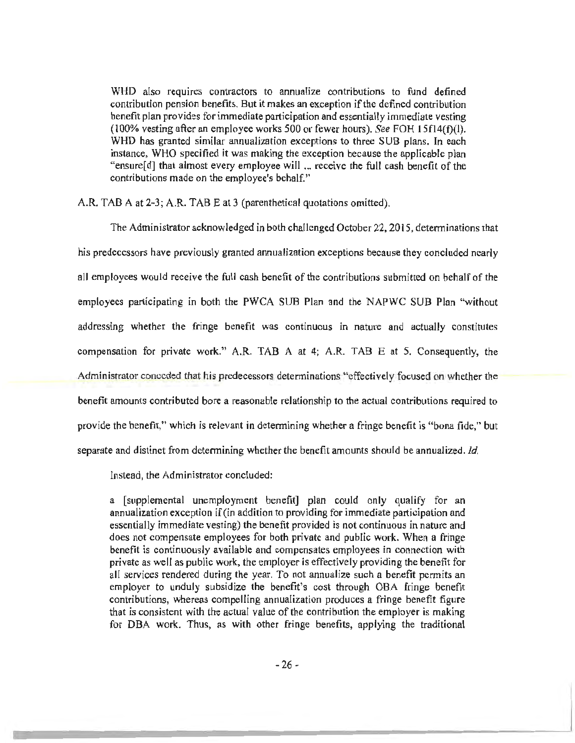WHO also requires contractors to annualize contributions to fund defined contribution pension benefits. But it makes an exception if the defined contribution benefit plan provides for immediate participation and essentially immediate vesting (100% vesting after an employee works 500 or fewer hours). *See* FOH 15f14(f)(l). WHD has granted similar annualization exceptions to three SUB plans. In each instance, WHO specified it was making the exception because the applicable plan "ensure[ d] that almost every employee will ... receive the full cash benefit of the contributions made on the employee's behalf."

A.R. TAB A at 2~3; A.R. TAB Eat 3 (parenthetical quotations omitted).

The Administrator acknowledged in both challenged October 22, 201 S, determinations that his predecessors have previously granted annualization exceptions because they concluded nearly all employees would receive the full cash benefit of the contributions submitted on behalf of the employees participating in both the PWCA SUB Plan and the NAPWC SUB Plan "without addressing whether the fringe benefit was continuous in nature and actually constitutes compensation for private work." A.R. TAB A at 4; A.R. TAB E at 5. Consequently, the Administrator conceded that his predecessors determinations "effectively focused on whether the benefit amounts contributed bore a reasonable relationship to the actual contributions required to provide the benefit," which is relevant in determining whether a fringe benefit is "bona fide," but separate and distinct from determining whether the benefit amounts should be annualized. *Id.* 

Instead, the Administrator concluded:

a (supplemental unemployment benefit] plan could only qualify for an annualization exception if (in addition to providing for immediate participation and essentially immediate vesting) the benefit provided is not continuous in nature and does not compensate employees for both private and public work. When a fringe benefit is continuously available and compensates employees in connection with private as well as public work, the employer is effectively providing the benefit for all services rendered during the year. To not annualize such a benefit permits an employer to unduly subsidize the benefit's cost through OBA fringe benefit contributions, whereas compelling annualization produces a fringe benefit figure that is consistent with the actual value of the contribution the employer is making for OBA work. Thus, as with other fringe benefits, applying the traditional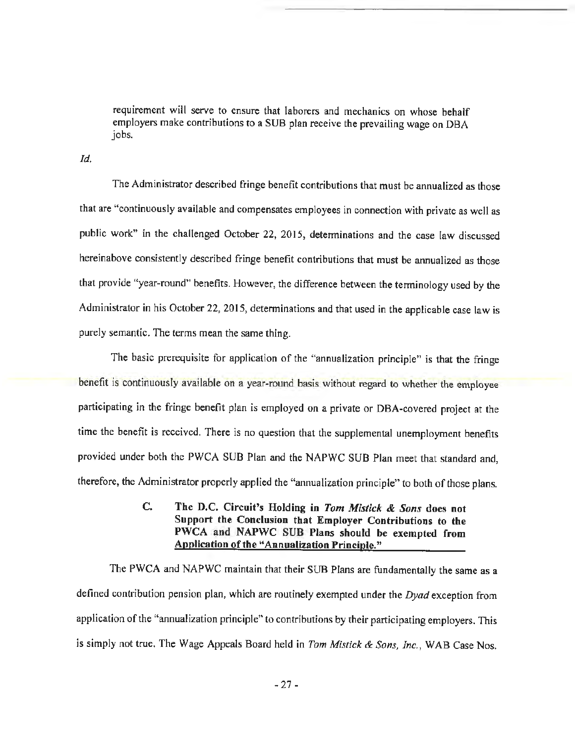requirement will serve to ensure that laborers and mechanics on whose behalf employers make contributions to a SUB plan receive the prevailing wage on OBA jobs.

*Id.* 

The Administrator described fringe benefit contributions that must be annualized as those that are "continuously available and compensates employees in connection with private as well as public work" in the challenged October 22, 2015, detenninations and the case law discussed hereinabove consistently described fringe benefit contributions that must be annualized as those that provide "year-round" benefits. However, the difference between the tenninology used by the Administrator in his October 22, 2015, determinations and that used in the applicable case law is purely semantic. The terms mean the same thing.

The basic prerequisite for application of the "annualization principle" is that the fringe benefit is continuously available on a year-round basis without regard to whether the employee participating in the fringe benefit plan is employed on a private or OBA-covered project at the time the benefit is received. There is no question that the supplemental unemployment benefits provided under both the PWCA SUB Plan and the NAPWC SUB Plan meet that standard and, therefore, the Administrator properly applied the "annualization principle" to both of those plans.

> C. The D.C. Circuit's Holding in *Tom Mistick* & *Sons* does not Support the Conclusion that Employer Contributions to the PWCA and NAPWC SUB Plans should be exempted from Application of the "Annualization Principle."

The PWCA and NAPWC maintain that their SUB Plans are fundamentally the same as a defined contribution pension plan, which are routinely exempted under the *Dyad* exception from application of the "annualization principle" to contributions by their participating employers. This is simply not true. The Wage Appeals Board held in *Tom Mistick* & *Sons, Inc.)* WAB Case Nos.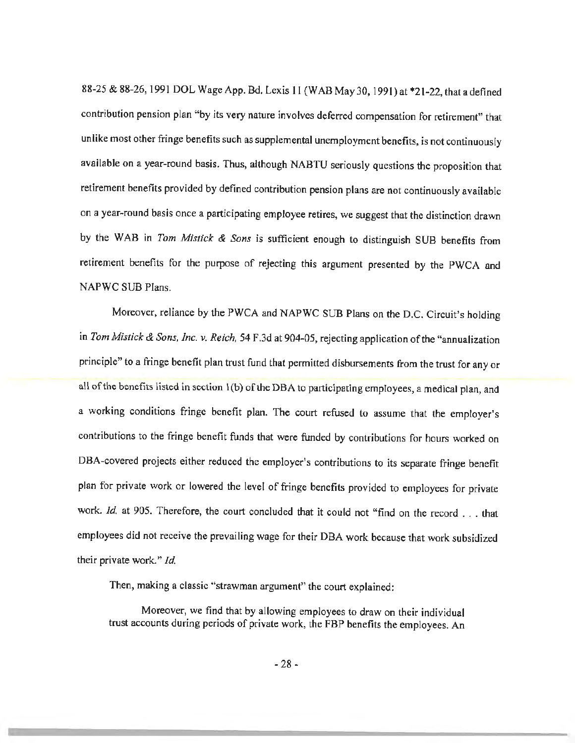88-25 & 88-26, 1991 DOL Wage App. Bd. Lexis 11 (WAB May 30, 1991) at \*21-22, that a defined contribution pension plan "by its very nature involves deferred compensation for retirement" that unlike most other fringe benefits such as supplemental unemployment benefits, is not continuously available on a year-round basis. Thus, although NABTU seriously questions the proposition that retirement benefits provided by defined contribution pension plans are not continuously available on a year-round basis once a participating employee retires, we suggest that the distinction drawn by the WAB in *Tom Mistick* & *Sons* is sufficient enough to distinguish SUB benefits from retirement benefits for the purpose of rejecting this argument presented by the PWCA and NAPWC SUB Plans.

Moreover, reliance by the PWCA and NAPWC SUB Plans on the D.C. Circuit's holding in *Tom Mistick* & *Sons, Inc. v. Reich,* 54 F.3d at 904-05, rejecting application of the "annualization principle" to a fringe benefit plan trust fund that permitted disbursements from the trust for any or all of the benefits listed in section 1 (b) of the DBA to participating employees, a medical plan, and a working conditions fringe benefit plan. The court refused to assume that the employer's contributions to the fringe benefit funds that were funded by contributions for hours worked on OBA-covered projects either reduced the employer's contributions to its separate fringe benefit plan for private work or lowered the level of fringe benefits provided to employees for private work. Id. at 905. Therefore, the court concluded that it could not "find on the record . . . that employees did not receive the prevailing wage for their DBA work because that work subsidized their private work." *Id.* 

Then, making a classic "strawman argument" the court explained:

Moreover, we find that by allowing employees to draw on their individual trust accounts during periods of private work, the FBP benefits the employees. An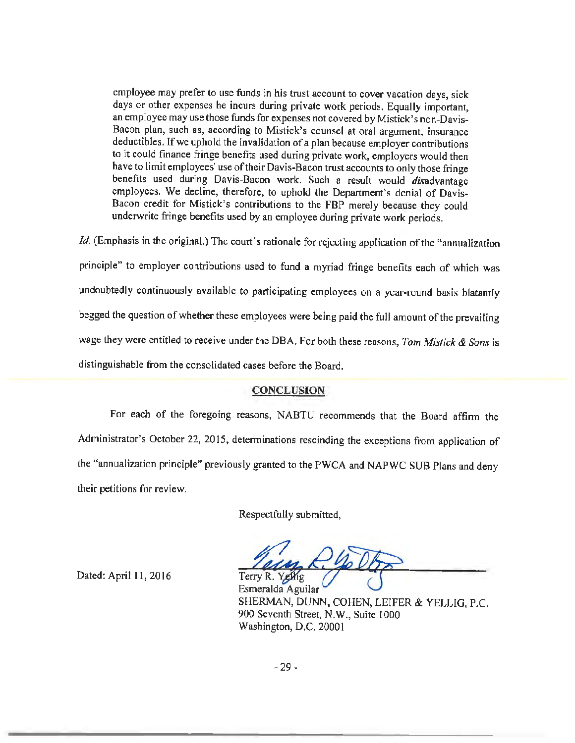employee may prefer to use funds in his trust account to cover vacation days, sick days or other expenses he incurs during private work periods. Equally important, an employee may use those funds for expenses not covered by Mistick' s non-Davis-Bacon plan, such as, according to Mistick's counsel at oral argument, insurance deductibles. If we uphold the invalidation of a plan because employer contributions to it could finance fringe benefits used during private work, employers would then have to limit employees' use of their Davis-Bacon trust accounts to only those fringe benefits used during Davis-Bacon work. Such a result would *disadvantage* employees. We decline, therefore, to uphold the Department's denial of Davis-Bacon credit for Mistick's contributions to the FBP merely because they could underwrite fringe benefits used by an employee during private work periods.

*Id.* (Emphasis in the original.) The court's rationale for rejecting application of the "annualization" principle" to employer contributions used to fund a myriad fringe benefits each of which was undoubtedly continuously available to participating employees on a year-round basis blatantly begged the question of whether these employees were being paid the full amount of the prevailing wage they were entitled to receive under the DBA. For both these reasons, *Tom Mistick* & *Sons* is distinguishable from the consolidated cases before the Board.

## CONCLUSION

For each of the foregoing reasons, NABTU recommends that the Board affinn the Administrator's October 22, 2015, determinations rescinding the exceptions from application of the "annualization principle" previously granted to the PWCA and NAPWC SUB Plans and deny their petitions for review.

Respectfully submitted,

Terry R. Yellig

Dated: April 11, 2016

Esmeralda Aguilar SHERMAN, DUNN, COHEN, LEIFER & YELLIG, P.C. 900 Seventh Street, N.W., Suite 1000 Washington, D.C. 20001

-29 -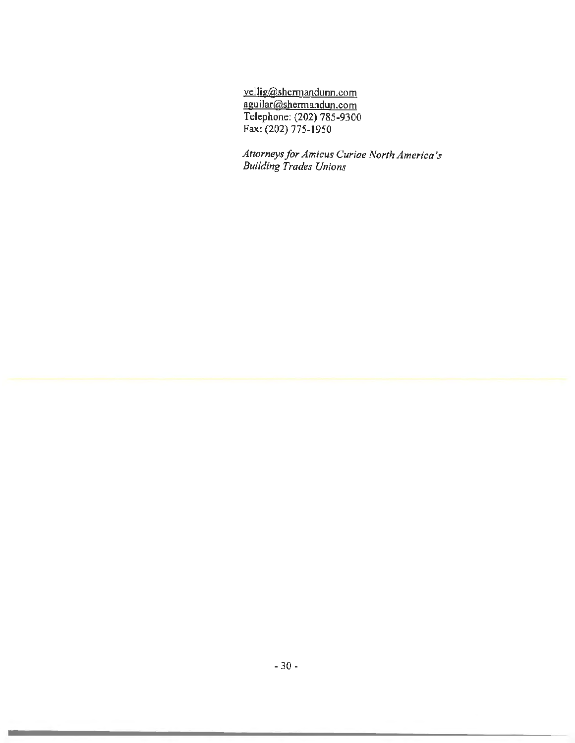yellig@shermandunn.com aguilar@shennandun.com Telephone: (202) 785-9300 Fax: (202) 775-1950

*Attorneys for Amicus Curiae North America's Building Trades Unions*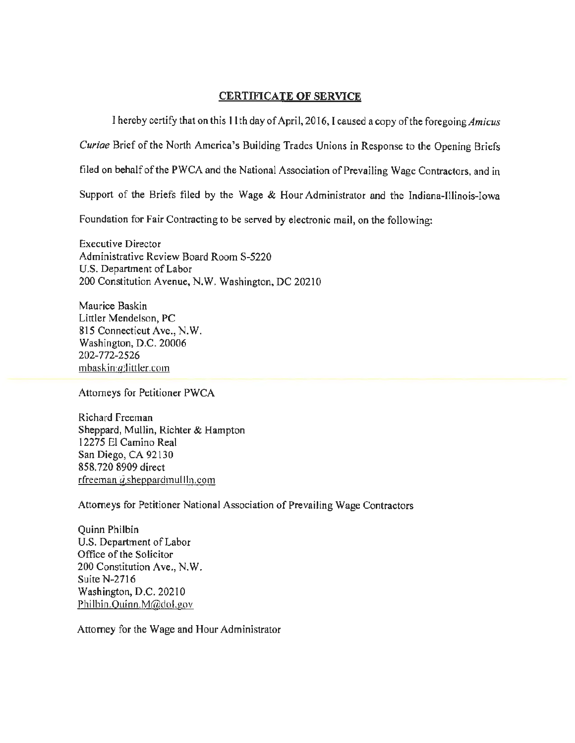## CERTIFICATE OF SERVICE

I hereby certify that on this 11th day of April, 2016, I caused a copy of the foregoing *Amicus* Curiae Brief of the North America's Building Trades Unions in Response to the Opening Briefs filed on behalf of the PWCA and the National Association of Prevailing Wage Contractors, and in Support of the Briefs filed by the Wage & Hour Administrator and the Indiana-Illinois-Iowa Foundation for Fair Contracting to be served by electronic mail, on the following:

Executive Director Administrative Review Board Room S-5220 U.S. Department of Labor 200 Constitution Avenue, N.W. Washington, DC 20210

Maurice Baskin Littler Mendelson, PC 815 Connecticut Ave., N.W. Washington, D.C. 20006 202-772-2526 mbaskin(a)littler.com

Attorneys for Petitioner PWCA

Richard Freeman Sheppard, Mullin, Richter & Hampton 12275 El Camino Real San Diego, CA 92130 858. 720 8909 direct  $r$ freeman  $a$  sheppardmul In.com

Attorneys for Petitioner National Association of Prevailing Wage Contractors

Quinn Philbin U.S. Department of Labor Office of the Solicitor 200 Constitution Ave., N. W. Suite N-2716 Washington, D.C. 20210 Philbin.Quinn.M@dol.gov

Attorney for the Wage and Hour Administrator